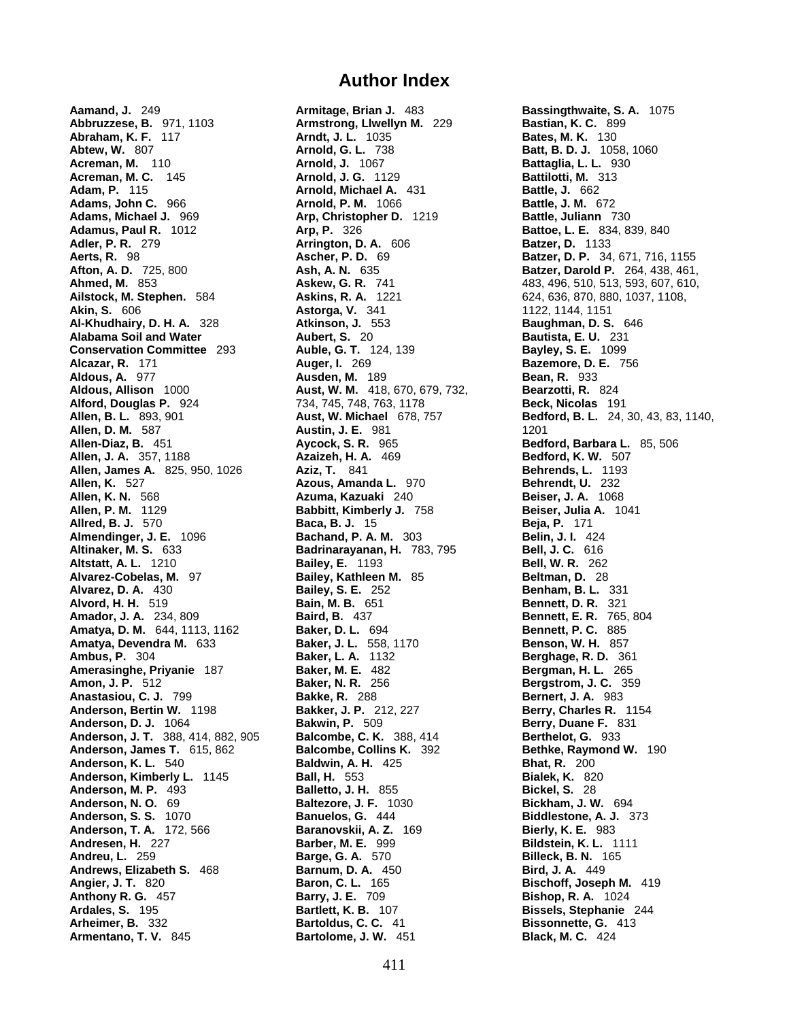**Aamand, J.** 249 **Abbruzzese, B.** 971, 1103 **Abraham, K. F.** 117 **Abtew, W.** 807 **Acreman, M.** 110 **Acreman, M. C.** 145 **Adam, P.** 115 **Adams, John C.** 966 **Adams, Michael J.** 969 **Adamus, Paul R.** 1012 **Adler, P. R.** 279 **Aerts, R.** 98 **Afton, A. D.** 725, 800 **Ahmed, M.** 853 **Ailstock, M. Stephen.** 584 **Akin, S.** 606 **Al-Khudhairy, D. H. A.** 328 **Alabama Soil and Water Conservation Committee** 293 **Alcazar, R.** 171 **Aldous, A.** 977 **Aldous, Allison** 1000 **Alford, Douglas P.** 924 **Allen, B. L.** 893, 901 **Allen, D. M.** 587 **Allen-Diaz, B.** 451 **Allen, J. A.** 357, 1188 **Allen, James A.** 825, 950, 1026 **Allen, K.** 527 **Allen, K. N.** 568 **Allen, P. M.** 1129 **Allred, B. J.** 570 **Almendinger, J. E.** 1096 **Altinaker, M. S.** 633 **Altstatt, A. L.** 1210 **Alvarez-Cobelas, M.** 97 **Alvarez, D. A.** 430 **Alvord, H. H.** 519 **Amador, J. A.** 234, 809 **Amatya, D. M.** 644, 1113, 1162 **Amatya, Devendra M.** 633 **Ambus, P.** 304 **Amerasinghe, Priyanie** 187 **Amon, J. P.** 512 **Anastasiou, C. J.** 799 **Anderson, Bertin W.** 1198 **Anderson, D. J.** 1064 **Anderson, J. T.** 388, 414, 882, 905 **Anderson, James T.** 615, 862 **Anderson, K. L.** 540 **Anderson, Kimberly L.** 1145 **Anderson, M. P.** 493 **Anderson, N. O.** 69 **Anderson, S. S.** 1070 **Anderson, T. A.** 172, 566 **Andresen, H.** 227 **Andreu, L.** 259 **Andrews, Elizabeth S.** 468 **Angier, J. T.** 820 **Anthony R. G.** 457 **Ardales, S.** 195 **Arheimer, B.** 332 **Armentano, T. V.** 845

## **Author Index**

**Armitage, Brian J.** 483 **Armstrong, Llwellyn M.** 229 **Arndt, J. L.** 1035 **Arnold, G. L.** 738 **Arnold, J.** 1067 **Arnold, J. G.** 1129 **Arnold, Michael A.** 431 **Arnold, P. M.** 1066 **Arp, Christopher D.** 1219 **Arp, P.** 326 **Arrington, D. A.** 606 **Ascher, P. D.** 69 **Ash, A. N.** 635 **Askew, G. R.** 741 **Askins, R. A.** 1221 **Astorga, V.** 341 **Atkinson, J.** 553 **Aubert, S.** 20 **Auble, G. T.** 124, 139 **Auger, I.** 269 **Ausden, M.** 189 **Aust, W. M.** 418, 670, 679, 732, 734, 745, 748, 763, 1178 **Aust, W. Michael** 678, 757 **Austin, J. E.** 981 **Aycock, S. R.** 965 **Azaizeh, H. A.** 469 **Aziz, T.** 841 **Azous, Amanda L.** 970 **Azuma, Kazuaki** 240 **Babbitt, Kimberly J.** 758 **Baca, B. J.** 15 **Bachand, P. A. M.** 303 **Badrinarayanan, H.** 783, 795 **Bailey, E.** 1193 **Bailey, Kathleen M.** 85 **Bailey, S. E.** 252 **Bain, M. B.** 651 **Baird, B.** 437 **Baker, D. L.** 694 **Baker, J. L.** 558, 1170 **Baker, L. A.** 1132 **Baker, M. E.** 482 **Baker, N. R.** 256 **Bakke, R.** 288 **Bakker, J. P.** 212, 227 **Bakwin, P.** 509 **Balcombe, C. K.** 388, 414 **Balcombe, Collins K.** 392 **Baldwin, A. H.** 425 **Ball, H.** 553 **Balletto, J. H.** 855 **Baltezore, J. F.** 1030 **Banuelos, G.** 444 **Baranovskii, A. Z.** 169 **Barber, M. E.** 999 **Barge, G. A.** 570 **Barnum, D. A.** 450 **Baron, C. L.** 165 **Barry, J. E.** 709 **Bartlett, K. B.** 107 **Bartoldus, C. C.** 41 **Bartolome, J. W.** 451

**Bassingthwaite, S. A.** 1075 **Bastian, K. C.** 899 **Bates, M. K.** 130 **Batt, B. D. J.** 1058, 1060 **Battaglia, L. L.** 930 **Battilotti, M.** 313 **Battle, J.** 662 **Battle, J. M.** 672 **Battle, Juliann** 730 **Battoe, L. E.** 834, 839, 840 **Batzer, D.** 1133 **Batzer, D. P.** 34, 671, 716, 1155 **Batzer, Darold P.** 264, 438, 461, 483, 496, 510, 513, 593, 607, 610, 624, 636, 870, 880, 1037, 1108, 1122, 1144, 1151 **Baughman, D. S.** 646 **Bautista, E. U.** 231 **Bayley, S. E.** 1099 **Bazemore, D. E.** 756 **Bean, R.** 933 **Bearzotti, R.** 824 **Beck, Nicolas** 191 **Bedford, B. L.** 24, 30, 43, 83, 1140, 1201 **Bedford, Barbara L.** 85, 506 **Bedford, K. W.** 507 **Behrends, L.** 1193 **Behrendt, U.** 232 **Beiser, J. A.** 1068 **Beiser, Julia A.** 1041 **Beja, P.** 171 **Belin, J. I.** 424 **Bell, J. C.** 616 **Bell, W. R.** 262 **Beltman, D.** 28 **Benham, B. L.** 331 **Bennett, D. R.** 321 **Bennett, E. R.** 765, 804 **Bennett, P. C.** 885 **Benson, W. H.** 857 **Berghage, R. D.** 361 **Bergman, H. L.** 265 **Bergstrom, J. C.** 359 **Bernert, J. A.** 983 **Berry, Charles R.** 1154 **Berry, Duane F.** 831 **Berthelot, G.** 933 **Bethke, Raymond W.** 190 **Bhat, R.** 200 **Bialek, K.** 820 **Bickel, S.** 28 **Bickham, J. W.** 694 **Biddlestone, A. J.** 373 **Bierly, K. E.** 983 **Bildstein, K. L.** 1111 **Billeck, B. N.** 165 **Bird, J. A.** 449 **Bischoff, Joseph M.** 419 **Bishop, R. A.** 1024 **Bissels, Stephanie** 244 **Bissonnette, G.** 413 **Black, M. C.** 424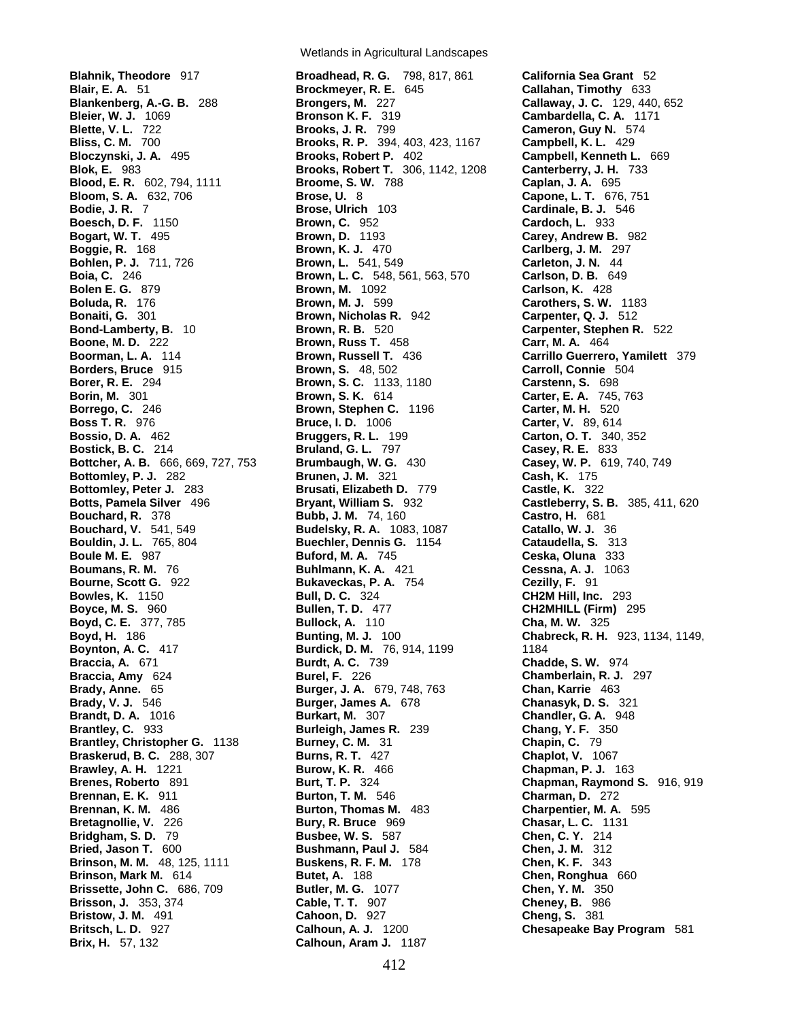**Blahnik, Theodore** 917 **Blair, E. A.** 51 **Blankenberg, A.-G. B.** 288 **Bleier, W. J.** 1069 **Blette, V. L.** 722 **Bliss, C. M.** 700 **Bloczynski, J. A.** 495 **Blok, E.** 983 **Blood, E. R.** 602, 794, 1111 **Bloom, S. A.** 632, 706 **Bodie, J. R.** 7 **Boesch, D. F.** 1150 **Bogart, W. T.** 495 **Boggie, R.** 168 **Bohlen, P. J.** 711, 726 **Boia, C.** 246 **Bolen E. G.** 879 **Boluda, R.** 176 **Bonaiti, G.** 301 **Bond-Lamberty, B.** 10 **Boone, M. D.** 222 **Boorman, L. A.** 114 **Borders, Bruce** 915 **Borer, R. E.** 294 **Borin, M.** 301 **Borrego, C.** 246 **Boss T. R.** 976 **Bossio, D. A.** 462 **Bostick, B. C.** 214 **Bottcher, A. B.** 666, 669, 727, 753 **Bottomley, P. J.** 282 **Bottomley, Peter J.** 283 **Botts, Pamela Silver** 496 **Bouchard, R.** 378 **Bouchard, V.** 541, 549 **Bouldin, J. L.** 765, 804 **Boule M. E.** 987 **Boumans, R. M.** 76 **Bourne, Scott G.** 922 **Bowles, K.** 1150 **Boyce, M. S.** 960 **Boyd, C. E.** 377, 785 **Boyd, H.** 186 **Boynton, A. C.** 417 **Braccia, A.** 671 **Braccia, Amy** 624 **Brady, Anne.** 65 **Brady, V. J.** 546 **Brandt, D. A.** 1016 **Brantley, C.** 933 **Brantley, Christopher G.** 1138 **Braskerud, B. C.** 288, 307 **Brawley, A. H.** 1221 **Brenes, Roberto** 891 **Brennan, E. K.** 911 **Brennan, K. M.** 486 **Bretagnollie, V.** 226 **Bridgham, S. D.** 79 **Bried, Jason T.** 600 **Brinson, M. M.** 48, 125, 1111 **Brinson, Mark M.** 614 **Brissette, John C.** 686, 709 **Brisson, J.** 353, 374 **Bristow, J. M.** 491 **Britsch, L. D.** 927 **Brix, H.** 57, 132

Wetlands in Agricultural Landscapes

**Broadhead, R. G.** 798, 817, 861 **Brockmeyer, R. E.** 645 **Brongers, M.** 227 **Bronson K. F.** 319 **Brooks, J. R.** 799 **Brooks, R. P.** 394, 403, 423, 1167 **Brooks, Robert P.** 402 **Brooks, Robert T.** 306, 1142, 1208 **Broome, S. W.** 788 **Brose, U.** 8 **Brose, Ulrich** 103 **Brown, C.** 952 **Brown, D.** 1193 **Brown, K. J.** 470 **Brown, L.** 541, 549 **Brown, L. C.** 548, 561, 563, 570 **Brown, M.** 1092 **Brown, M. J.** 599 **Brown, Nicholas R.** 942 **Brown, R. B.** 520 **Brown, Russ T.** 458 **Brown, Russell T.** 436 **Brown, S.** 48, 502 **Brown, S. C.** 1133, 1180 **Brown, S. K.** 614 **Brown, Stephen C.** 1196 **Bruce, I. D.** 1006 **Bruggers, R. L.** 199 **Bruland, G. L.** 797 **Brumbaugh, W. G.** 430 **Brunen, J. M.** 321 **Brusati, Elizabeth D.** 779 **Bryant, William S.** 932 **Bubb, J. M.** 74, 160 **Budelsky, R. A.** 1083, 1087 **Buechler, Dennis G.** 1154 **Buford, M. A.** 745 **Buhlmann, K. A.** 421 **Bukaveckas, P. A.** 754 **Bull, D. C.** 324 **Bullen, T. D.** 477 **Bullock, A.** 110 **Bunting, M. J.** 100 **Burdick, D. M.** 76, 914, 1199 **Burdt, A. C.** 739 **Burel, F.** 226 **Burger, J. A.** 679, 748, 763 **Burger, James A.** 678 **Burkart, M.** 307 **Burleigh, James R.** 239 **Burney, C. M.** 31 **Burns, R. T.** 427 **Burow, K. R.** 466 **Burt, T. P.** 324 **Burton, T. M.** 546 **Burton, Thomas M.** 483 **Bury, R. Bruce** 969 **Busbee, W. S.** 587 **Bushmann, Paul J.** 584 **Buskens, R. F. M.** 178 **Butet, A.** 188 **Butler, M. G.** 1077 **Cable, T. T.** 907 **Cahoon, D.** 927 **Calhoun, A. J.** 1200 **Calhoun, Aram J.** 1187

**California Sea Grant** 52 **Callahan, Timothy** 633 **Callaway, J. C.** 129, 440, 652 **Cambardella, C. A.** 1171 **Cameron, Guy N.** 574 **Campbell, K. L.** 429 **Campbell, Kenneth L.** 669 **Canterberry, J. H.** 733 **Caplan, J. A.** 695 **Capone, L. T.** 676, 751 **Cardinale, B. J.** 546 **Cardoch, L.** 933 **Carey, Andrew B.** 982 **Carlberg, J. M.** 297 **Carleton, J. N.** 44 **Carlson, D. B.** 649 **Carlson, K.** 428 **Carothers, S. W.** 1183 **Carpenter, Q. J.** 512 **Carpenter, Stephen R.** 522 **Carr, M. A.** 464 **Carrillo Guerrero, Yamilett** 379 **Carroll, Connie** 504 **Carstenn, S.** 698 **Carter, E. A.** 745, 763 **Carter, M. H.** 520 **Carter, V.** 89, 614 **Carton, O. T.** 340, 352 **Casey, R. E.** 833 **Casey, W. P.** 619, 740, 749 **Cash, K.** 175 **Castle, K.** 322 **Castleberry, S. B.** 385, 411, 620 **Castro, H.** 681 **Catallo, W. J.** 36 **Cataudella, S.** 313 **Ceska, Oluna** 333 **Cessna, A. J.** 1063 **Cezilly, F.** 91 **CH2M Hill, Inc.** 293 **CH2MHILL (Firm)** 295 **Cha, M. W.** 325 **Chabreck, R. H.** 923, 1134, 1149, 1184 **Chadde, S. W.** 974 **Chamberlain, R. J.** 297 **Chan, Karrie** 463 **Chanasyk, D. S.** 321 **Chandler, G. A.** 948 **Chang, Y. F.** 350 **Chapin, C.** 79 **Chaplot, V.** 1067 **Chapman, P. J.** 163 **Chapman, Raymond S.** 916, 919 **Charman, D.** 272 **Charpentier, M. A.** 595 **Chasar, L. C.** 1131 **Chen, C. Y.** 214 **Chen, J. M.** 312 **Chen, K. F.** 343 **Chen, Ronghua** 660 **Chen, Y. M.** 350 **Cheney, B.** 986 **Cheng, S.** 381 **Chesapeake Bay Program** 581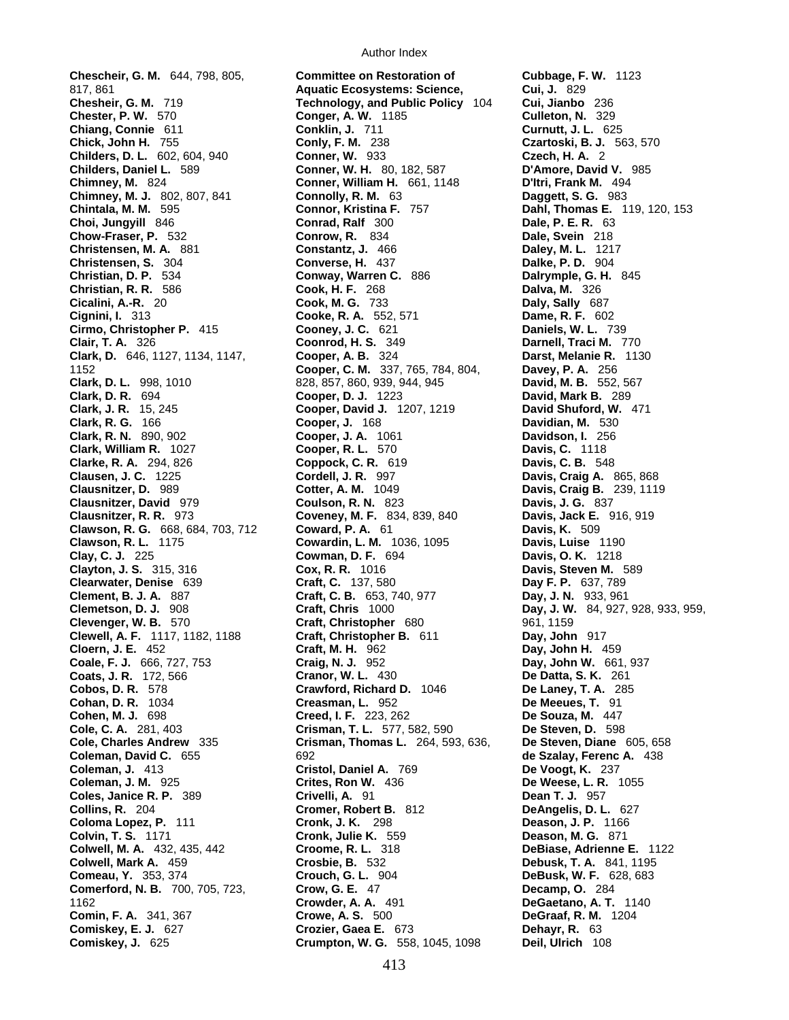**Chescheir, G. M.** 644, 798, 805, 817, 861 **Chesheir, G. M.** 719 **Chester, P. W.** 570 **Chiang, Connie** 611 **Chick, John H.** 755 **Childers, D. L.** 602, 604, 940 **Childers, Daniel L.** 589 **Chimney, M.** 824 **Chimney, M. J.** 802, 807, 841 **Chintala, M. M.** 595 **Choi, Jungyill** 846 **Chow-Fraser, P.** 532 **Christensen, M. A.** 881 **Christensen, S.** 304 **Christian, D. P.** 534 **Christian, R. R.** 586 **Cicalini, A.-R.** 20 **Cignini, I.** 313 **Cirmo, Christopher P.** 415 **Clair, T. A.** 326 **Clark, D.** 646, 1127, 1134, 1147, 1152 **Clark, D. L.** 998, 1010 **Clark, D. R.** 694 **Clark, J. R.** 15, 245 **Clark, R. G.** 166 **Clark, R. N.** 890, 902 **Clark, William R.** 1027 **Clarke, R. A.** 294, 826 **Clausen, J. C.** 1225 **Clausnitzer, D.** 989 **Clausnitzer, David** 979 **Clausnitzer, R. R.** 973 **Clawson, R. G.** 668, 684, 703, 712 **Clawson, R. L.** 1175 **Clay, C. J.** 225 **Clayton, J. S.** 315, 316 **Clearwater, Denise** 639 **Clement, B. J. A.** 887 **Clemetson, D. J.** 908 **Clevenger, W. B.** 570 **Clewell, A. F.** 1117, 1182, 1188 **Cloern, J. E.** 452 **Coale, F. J.** 666, 727, 753 **Coats, J. R.** 172, 566 **Cobos, D. R.** 578 **Cohan, D. R.** 1034 **Cohen, M. J.** 698 **Cole, C. A.** 281, 403 **Cole, Charles Andrew** 335 **Coleman, David C.** 655 **Coleman, J.** 413 **Coleman, J. M.** 925 **Coles, Janice R. P.** 389 **Collins, R.** 204 **Coloma Lopez, P.** 111 **Colvin, T. S.** 1171 **Colwell, M. A.** 432, 435, 442 **Colwell, Mark A.** 459 **Comeau, Y.** 353, 374 **Comerford, N. B.** 700, 705, 723, 1162 **Comin, F. A.** 341, 367

**Comiskey, E. J.** 627 **Comiskey, J.** 625

Author Index

**Committee on Restoration of Aquatic Ecosystems: Science, Technology, and Public Policy** 104 **Conger, A. W.** 1185 **Conklin, J.** 711 **Conly, F. M.** 238 **Conner, W.** 933 **Conner, W. H.** 80, 182, 587 **Conner, William H.** 661, 1148 **Connolly, R. M.** 63 **Connor, Kristina F.** 757 **Conrad, Ralf** 300 **Conrow, R.** 834 **Constantz, J.** 466 **Converse, H.** 437 **Conway, Warren C.** 886 **Cook, H. F.** 268 **Cook, M. G.** 733 **Cooke, R. A.** 552, 571 **Cooney, J. C.** 621 **Coonrod, H. S.** 349 **Cooper, A. B.** 324 **Cooper, C. M.** 337, 765, 784, 804, 828, 857, 860, 939, 944, 945 **Cooper, D. J.** 1223 **Cooper, David J.** 1207, 1219 **Cooper, J.** 168 **Cooper, J. A.** 1061 **Cooper, R. L.** 570 **Coppock, C. R.** 619 **Cordell, J. R.** 997 **Cotter, A. M.** 1049 **Coulson, R. N.** 823 **Coveney, M. F.** 834, 839, 840 **Coward, P. A.** 61 **Cowardin, L. M.** 1036, 1095 **Cowman, D. F.** 694 **Cox, R. R.** 1016 **Craft, C.** 137, 580 **Craft, C. B.** 653, 740, 977 **Craft, Chris** 1000 **Craft, Christopher** 680 **Craft, Christopher B.** 611 **Craft, M. H.** 962 **Craig, N. J.** 952 **Cranor, W. L.** 430 **Crawford, Richard D.** 1046 **Creasman, L.** 952 **Creed, I. F.** 223, 262 **Crisman, T. L.** 577, 582, 590 **Crisman, Thomas L.** 264, 593, 636, 692 **Cristol, Daniel A.** 769 **Crites, Ron W.** 436 **Crivelli, A.** 91 **Cromer, Robert B.** 812 **Cronk, J. K.** 298 **Cronk, Julie K.** 559 **Croome, R. L.** 318 **Crosbie, B.** 532 **Crouch, G. L.** 904 **Crow, G. E.** 47 **Crowder, A. A.** 491 **Crowe, A. S.** 500 **Crozier, Gaea E.** 673 **Crumpton, W. G.** 558, 1045, 1098

**Cubbage, F. W.** 1123 **Cui, J.** 829 **Cui, Jianbo** 236 **Culleton, N.** 329 **Curnutt, J. L.** 625 **Czartoski, B. J.** 563, 570 **Czech, H. A.** 2 **D'Amore, David V.** 985 **D'Itri, Frank M.** 494 **Daggett, S. G.** 983 **Dahl, Thomas E.** 119, 120, 153 **Dale, P. E. R.** 63 **Dale, Svein** 218 **Daley, M. L.** 1217 **Dalke, P. D.** 904 **Dalrymple, G. H.** 845 **Dalva, M.** 326 **Daly, Sally** 687 **Dame, R. F.** 602 **Daniels, W. L.** 739 **Darnell, Traci M.** 770 **Darst, Melanie R.** 1130 **Davey, P. A.** 256 **David, M. B.** 552, 567 **David, Mark B.** 289 **David Shuford, W.** 471 **Davidian, M.** 530 **Davidson, I.** 256 **Davis, C.** 1118 **Davis, C. B.** 548 **Davis, Craig A.** 865, 868 **Davis, Craig B.** 239, 1119 **Davis, J. G.** 837 **Davis, Jack E.** 916, 919 **Davis, K.** 509 **Davis, Luise** 1190 **Davis, O. K.** 1218 **Davis, Steven M.** 589 **Day F. P.** 637, 789 **Day, J. N.** 933, 961 **Day, J. W.** 84, 927, 928, 933, 959, 961, 1159 **Day, John** 917 **Day, John H.** 459 **Day, John W.** 661, 937 **De Datta, S. K.** 261 **De Laney, T. A.** 285 **De Meeues, T.** 91 **De Souza, M.** 447 **De Steven, D.** 598 **De Steven, Diane** 605, 658 **de Szalay, Ferenc A.** 438 **De Voogt, K.** 237 **De Weese, L. R.** 1055 **Dean T. J.** 957 **DeAngelis, D. L.** 627 **Deason, J. P.** 1166 **Deason, M. G.** 871 **DeBiase, Adrienne E.** 1122 **Debusk, T. A.** 841, 1195 **DeBusk, W. F.** 628, 683 **Decamp, O.** 284 **DeGaetano, A. T.** 1140 **DeGraaf, R. M.** 1204 **Dehayr, R.** 63 **Deil, Ulrich** 108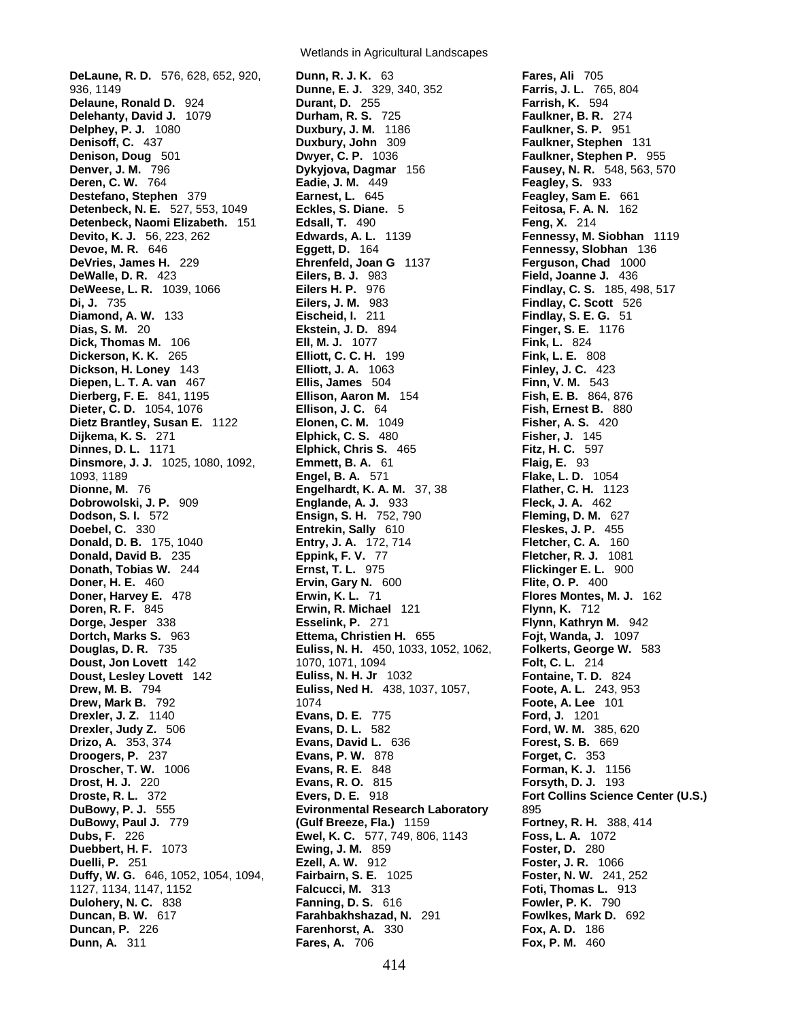**DeLaune, R. D.** 576, 628, 652, 920, 936, 1149 **Delaune, Ronald D.** 924 **Delehanty, David J.** 1079 **Delphey, P. J.** 1080 **Denisoff, C.** 437 **Denison, Doug** 501 **Denver, J. M.** 796 **Deren, C. W.** 764 **Destefano, Stephen** 379 **Detenbeck, N. E.** 527, 553, 1049 **Detenbeck, Naomi Elizabeth.** 151 **Devito, K. J.** 56, 223, 262 **Devoe, M. R.** 646 **DeVries, James H.** 229 **DeWalle, D. R.** 423 **DeWeese, L. R.** 1039, 1066 **Di, J.** 735 **Diamond, A. W.** 133 **Dias, S. M.** 20 **Dick, Thomas M.** 106 **Dickerson, K. K.** 265 **Dickson, H. Loney** 143 **Diepen, L. T. A. van** 467 **Dierberg, F. E.** 841, 1195 **Dieter, C. D.** 1054, 1076 **Dietz Brantley, Susan E.** 1122 **Dijkema, K. S.** 271 **Dinnes, D. L.** 1171 **Dinsmore, J. J.** 1025, 1080, 1092, 1093, 1189 **Dionne, M.** 76 **Dobrowolski, J. P.** 909 **Dodson, S. I.** 572 **Doebel, C.** 330 **Donald, D. B.** 175, 1040 **Donald, David B.** 235 **Donath, Tobias W.** 244 **Doner, H. E.** 460 **Doner, Harvey E.** 478 **Doren, R. F.** 845 **Dorge, Jesper** 338 **Dortch, Marks S.** 963 **Douglas, D. R.** 735 **Doust, Jon Lovett** 142 **Doust, Lesley Lovett** 142 **Drew, M. B.** 794 **Drew, Mark B.** 792 **Drexler, J. Z.** 1140 **Drexler, Judy Z.** 506 **Drizo, A.** 353, 374 **Droogers, P.** 237 **Droscher, T. W.** 1006 **Drost, H. J.** 220 **Droste, R. L.** 372 **DuBowy, P. J.** 555 **DuBowy, Paul J.** 779 **Dubs, F.** 226 **Duebbert, H. F.** 1073 **Duelli, P.** 251 **Duffy, W. G.** 646, 1052, 1054, 1094, 1127, 1134, 1147, 1152 **Dulohery, N. C.** 838 **Duncan, B. W.** 617 **Duncan, P.** 226 **Dunn, A.** 311

Wetlands in Agricultural Landscapes

**Dunn, R. J. K.** 63 **Dunne, E. J.** 329, 340, 352 **Durant, D.** 255 **Durham, R. S.** 725 **Duxbury, J. M.** 1186 **Duxbury, John** 309 **Dwyer, C. P.** 1036 **Dykyjova, Dagmar** 156 **Eadie, J. M.** 449 **Earnest, L.** 645 **Eckles, S. Diane.** 5 **Edsall, T.** 490 **Edwards, A. L.** 1139 **Eggett, D.** 164 **Ehrenfeld, Joan G** 1137 **Eilers, B. J.** 983 **Eilers H. P.** 976 **Eilers, J. M.** 983 **Eischeid, I.** 211 **Ekstein, J. D.** 894 **Ell, M. J.** 1077 **Elliott, C. C. H.** 199 **Elliott, J. A.** 1063 **Ellis, James** 504 **Ellison, Aaron M.** 154 **Ellison, J. C.** 64 **Elonen, C. M.** 1049 **Elphick, C. S.** 480 **Elphick, Chris S.** 465 **Emmett, B. A.** 61 **Engel, B. A.** 571 **Engelhardt, K. A. M.** 37, 38 **Englande, A. J.** 933 **Ensign, S. H.** 752, 790 **Entrekin, Sally** 610 **Entry, J. A.** 172, 714 **Eppink, F. V.** 77 **Ernst, T. L.** 975 **Ervin, Gary N.** 600 **Erwin, K. L.** 71 **Erwin, R. Michael** 121 **Esselink, P.** 271 **Ettema, Christien H.** 655 **Euliss, N. H.** 450, 1033, 1052, 1062, 1070, 1071, 1094 **Euliss, N. H. Jr** 1032 **Euliss, Ned H.** 438, 1037, 1057, 1074 **Evans, D. E.** 775 **Evans, D. L.** 582 **Evans, David L.** 636 **Evans, P. W.** 878 **Evans, R. E.** 848 **Evans, R. O.** 815 **Evers, D. E.** 918 **Evironmental Research Laboratory (Gulf Breeze, Fla.)** 1159 **Ewel, K. C.** 577, 749, 806, 1143 **Ewing, J. M.** 859 **Ezell, A. W.** 912 **Fairbairn, S. E.** 1025 **Falcucci, M.** 313 **Fanning, D. S.** 616 **Farahbakhshazad, N.** 291 **Farenhorst, A.** 330 **Fares, A.** 706

**Fares, Ali** 705 **Farris, J. L.** 765, 804 **Farrish, K.** 594 **Faulkner, B. R.** 274 **Faulkner, S. P.** 951 **Faulkner, Stephen** 131 **Faulkner, Stephen P.** 955 **Fausey, N. R.** 548, 563, 570 **Feagley, S.** 933 **Feagley, Sam E.** 661 **Feitosa, F. A. N.** 162 **Feng, X.** 214 **Fennessy, M. Siobhan** 1119 **Fennessy, Slobhan** 136 **Ferguson, Chad** 1000 **Field, Joanne J.** 436 **Findlay, C. S.** 185, 498, 517 **Findlay, C. Scott** 526 **Findlay, S. E. G.** 51 **Finger, S. E.** 1176 **Fink, L.** 824 **Fink, L. E.** 808 **Finley, J. C.** 423 **Finn, V. M.** 543 **Fish, E. B.** 864, 876 **Fish, Ernest B.** 880 **Fisher, A. S.** 420 **Fisher, J.** 145 **Fitz, H. C.** 597 **Flaig, E.** 93 **Flake, L. D.** 1054 **Flather, C. H.** 1123 **Fleck, J. A.** 462 **Fleming, D. M.** 627 **Fleskes, J. P.** 455 **Fletcher, C. A.** 160 **Fletcher, R. J.** 1081 **Flickinger E. L.** 900 **Flite, O. P.** 400 **Flores Montes, M. J.** 162 **Flynn, K.** 712 **Flynn, Kathryn M.** 942 **Fojt, Wanda, J.** 1097 **Folkerts, George W.** 583 **Folt, C. L.** 214 **Fontaine, T. D.** 824 **Foote, A. L.** 243, 953 **Foote, A. Lee** 101 **Ford, J.** 1201 **Ford, W. M.** 385, 620 **Forest, S. B.** 669 **Forget, C.** 353 **Forman, K. J.** 1156 **Forsyth, D. J.** 193 **Fort Collins Science Center (U.S.)** 895 **Fortney, R. H.** 388, 414 **Foss, L. A.** 1072 **Foster, D.** 280 **Foster, J. R.** 1066 **Foster, N. W.** 241, 252 **Foti, Thomas L.** 913 **Fowler, P. K.** 790 **Fowlkes, Mark D.** 692 **Fox, A. D.** 186 **Fox, P. M.** 460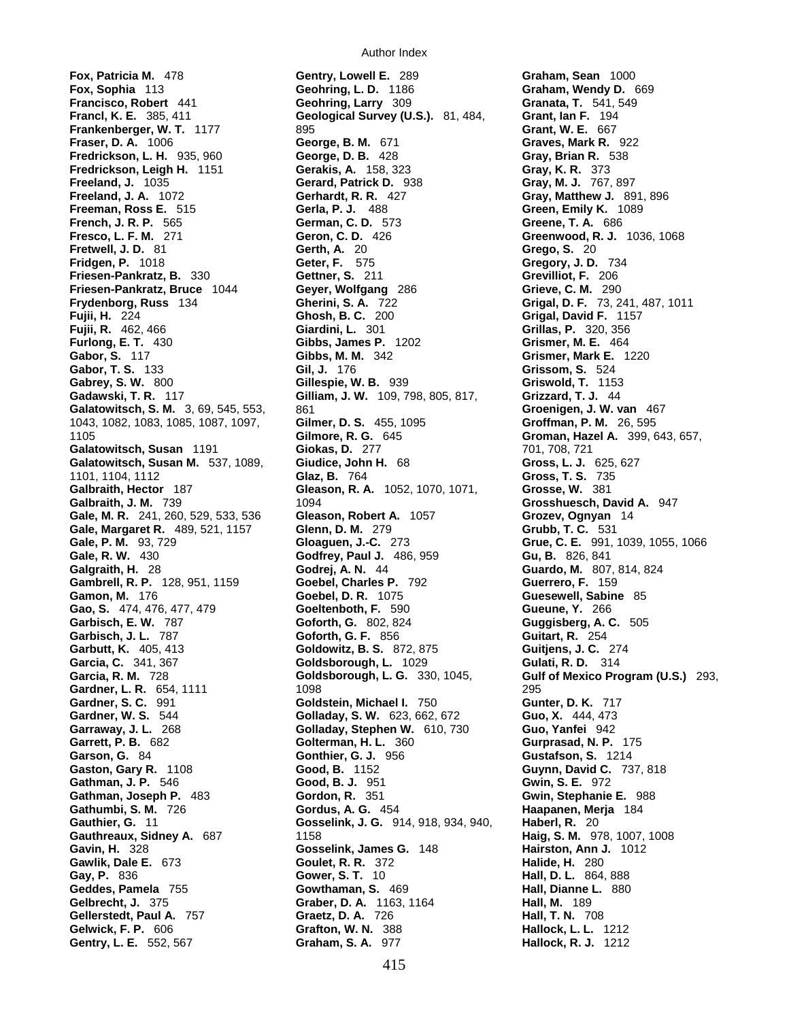Author Index

**Fox, Patricia M.** 478 **Fox, Sophia** 113 **Francisco, Robert** 441 **Francl, K. E.** 385, 411 **Frankenberger, W. T.** 1177 **Fraser, D. A.** 1006 **Fredrickson, L. H.** 935, 960 **Fredrickson, Leigh H.** 1151 **Freeland, J.** 1035 **Freeland, J. A.** 1072 **Freeman, Ross E.** 515 **French, J. R. P.** 565 **Fresco, L. F. M.** 271 **Fretwell, J. D.** 81 **Fridgen, P.** 1018 **Friesen-Pankratz, B.** 330 **Friesen-Pankratz, Bruce** 1044 **Frydenborg, Russ** 134 **Fujii, H.** 224 **Fujii, R.** 462, 466 **Furlong, E. T.** 430 **Gabor, S.** 117 **Gabor, T. S.** 133 **Gabrey, S. W.** 800 **Gadawski, T. R.** 117 **Galatowitsch, S. M.** 3, 69, 545, 553, 1043, 1082, 1083, 1085, 1087, 1097, 1105 **Galatowitsch, Susan** 1191 **Galatowitsch, Susan M.** 537, 1089, 1101, 1104, 1112 **Galbraith, Hector** 187 **Galbraith, J. M.** 739 **Gale, M. R.** 241, 260, 529, 533, 536 **Gale, Margaret R.** 489, 521, 1157 **Gale, P. M.** 93, 729 **Gale, R. W.** 430 **Galgraith, H.** 28 **Gambrell, R. P.** 128, 951, 1159 **Gamon, M.** 176 **Gao, S.** 474, 476, 477, 479 **Garbisch, E. W.** 787 **Garbisch, J. L.** 787 **Garbutt, K.** 405, 413 **Garcia, C.** 341, 367 **Garcia, R. M.** 728 **Gardner, L. R.** 654, 1111 **Gardner, S. C.** 991 **Gardner, W. S.** 544 **Garraway, J. L.** 268 **Garrett, P. B.** 682 **Garson, G.** 84 **Gaston, Gary R.** 1108 **Gathman, J. P.** 546 **Gathman, Joseph P.** 483 **Gathumbi, S. M.** 726 **Gauthier, G.** 11 **Gauthreaux, Sidney A.** 687 **Gavin, H.** 328 **Gawlik, Dale E.** 673 **Gay, P.** 836 **Geddes, Pamela** 755 **Gelbrecht, J.** 375 **Gellerstedt, Paul A.** 757 **Gelwick, F. P.** 606 **Gentry, L. E.** 552, 567

**Gentry, Lowell E.** 289 **Geohring, L. D.** 1186 **Geohring, Larry** 309 **Geological Survey (U.S.).** 81, 484, 895 **George, B. M.** 671 **George, D. B.** 428 **Gerakis, A.** 158, 323 **Gerard, Patrick D.** 938 **Gerhardt, R. R.** 427 **Gerla, P. J.** 488 **German, C. D.** 573 **Geron, C. D.** 426 **Gerth, A.** 20 **Geter, F.** 575 **Gettner, S.** 211 **Geyer, Wolfgang** 286 **Gherini, S. A.** 722 **Ghosh, B. C.** 200 **Giardini, L.** 301 **Gibbs, James P.** 1202 **Gibbs, M. M.** 342 **Gil, J.** 176 **Gillespie, W. B.** 939 **Gilliam, J. W.** 109, 798, 805, 817, 861 **Gilmer, D. S.** 455, 1095 **Gilmore, R. G.** 645 **Giokas, D.** 277 **Giudice, John H.** 68 **Glaz, B.** 764 **Gleason, R. A.** 1052, 1070, 1071, 1094 **Gleason, Robert A.** 1057 **Glenn, D. M.** 279 **Gloaguen, J.-C.** 273 **Godfrey, Paul J.** 486, 959 **Godrej, A. N.** 44 **Goebel, Charles P.** 792 **Goebel, D. R.** 1075 **Goeltenboth, F.** 590 **Goforth, G.** 802, 824 **Goforth, G. F.** 856 **Goldowitz, B. S.** 872, 875 **Goldsborough, L.** 1029 **Goldsborough, L. G.** 330, 1045, 1098 **Goldstein, Michael I.** 750 **Golladay, S. W.** 623, 662, 672 **Golladay, Stephen W.** 610, 730 **Golterman, H. L.** 360 **Gonthier, G. J.** 956 **Good, B.** 1152 **Good, B. J.** 951 **Gordon, R.** 351 **Gordus, A. G.** 454 **Gosselink, J. G.** 914, 918, 934, 940, 1158 **Gosselink, James G.** 148 **Goulet, R. R.** 372 **Gower, S. T.** 10 **Gowthaman, S.** 469 **Graber, D. A.** 1163, 1164 **Graetz, D. A.** 726 **Grafton, W. N.** 388 **Graham, S. A.** 977

**Graham, Sean** 1000 **Graham, Wendy D.** 669 **Granata, T.** 541, 549 **Grant, Ian F.** 194 **Grant, W. E.** 667 **Graves, Mark R.** 922 **Gray, Brian R.** 538 **Gray, K. R.** 373 **Gray, M. J.** 767, 897 **Gray, Matthew J.** 891, 896 **Green, Emily K.** 1089 **Greene, T. A.** 686 **Greenwood, R. J.** 1036, 1068 **Grego, S.** 20 **Gregory, J. D.** 734 **Grevilliot, F.** 206 **Grieve, C. M.** 290 **Grigal, D. F.** 73, 241, 487, 1011 **Grigal, David F.** 1157 **Grillas, P.** 320, 356 **Grismer, M. E.** 464 **Grismer, Mark E.** 1220 **Grissom, S.** 524 **Griswold, T.** 1153 **Grizzard, T. J.** 44 **Groenigen, J. W. van** 467 **Groffman, P. M.** 26, 595 **Groman, Hazel A.** 399, 643, 657, 701, 708, 721 **Gross, L. J.** 625, 627 **Gross, T. S.** 735 **Grosse, W.** 381 **Grosshuesch, David A.** 947 **Grozev, Ognyan** 14 **Grubb, T. C.** 531 **Grue, C. E.** 991, 1039, 1055, 1066 **Gu, B.** 826, 841 **Guardo, M.** 807, 814, 824 **Guerrero, F.** 159 **Guesewell, Sabine** 85 **Gueune, Y.** 266 **Guggisberg, A. C.** 505 **Guitart, R.** 254 **Guitjens, J. C.** 274 **Gulati, R. D.** 314 **Gulf of Mexico Program (U.S.)** 293, 295 **Gunter, D. K.** 717 **Guo, X.** 444, 473 **Guo, Yanfei** 942 **Gurprasad, N. P.** 175 **Gustafson, S.** 1214 **Guynn, David C.** 737, 818 **Gwin, S. E.** 972 **Gwin, Stephanie E.** 988 **Haapanen, Merja** 184 **Haberl, R.** 20 **Haig, S. M.** 978, 1007, 1008 **Hairston, Ann J.** 1012 **Halide, H.** 280 **Hall, D. L.** 864, 888 **Hall, Dianne L.** 880 **Hall, M.** 189 **Hall, T. N.** 708 **Hallock, L. L.** 1212 **Hallock, R. J.** 1212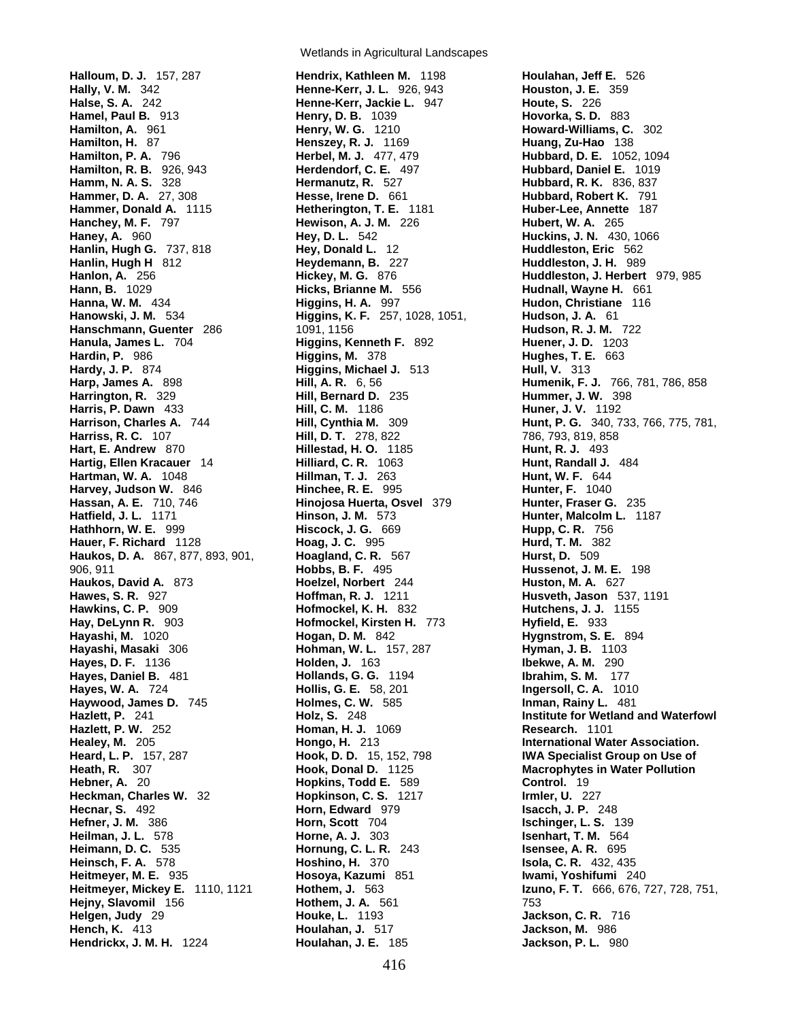**Halloum, D. J.** 157, 287 **Hally, V. M.** 342 **Halse, S. A.** 242 **Hamel, Paul B.** 913 **Hamilton, A. 961 Hamilton, H.** 87 **Hamilton, P. A.** 796 **Hamilton, R. B.** 926, 943 **Hamm, N. A. S.** 328 **Hammer, D. A.** 27, 308 **Hammer, Donald A.** 1115 **Hanchey, M. F.** 797 **Haney, A.** 960 **Hanlin, Hugh G.** 737, 818 **Hanlin, Hugh H** 812 **Hanlon, A.** 256 **Hann, B.** 1029 **Hanna, W. M.** 434 **Hanowski, J. M.** 534 **Hanschmann, Guenter** 286 **Hanula, James L.** 704 **Hardin, P.** 986 **Hardy, J. P.** 874 **Harp, James A.** 898 **Harrington, R.** 329 **Harris, P. Dawn** 433 **Harrison, Charles A.** 744 **Harriss, R. C.** 107 **Hart, E. Andrew** 870 **Hartig, Ellen Kracauer** 14 **Hartman, W. A.** 1048 **Harvey, Judson W.** 846 **Hassan, A. E.** 710, 746 **Hatfield, J. L.** 1171 **Hathhorn, W. E.** 999 **Hauer, F. Richard** 1128 **Haukos, D. A.** 867, 877, 893, 901, 906, 911 **Haukos, David A.** 873 **Hawes, S. R.** 927 **Hawkins, C. P.** 909 **Hay, DeLynn R.** 903 **Hayashi, M.** 1020 **Hayashi, Masaki** 306 **Hayes, D. F.** 1136 **Hayes, Daniel B.** 481 **Hayes, W. A.** 724 **Haywood, James D.** 745 **Hazlett, P.** 241 **Hazlett, P. W.** 252 **Healey, M.** 205 **Heard, L. P.** 157, 287 **Heath, R.** 307 **Hebner, A.** 20 **Heckman, Charles W.** 32 **Hecnar, S.** 492 **Hefner, J. M.** 386 **Heilman, J. L.** 578 **Heimann, D. C.** 535 **Heinsch, F. A.** 578 **Heitmeyer, M. E.** 935 **Heitmeyer, Mickey E.** 1110, 1121 **Hejny, Slavomil** 156 **Helgen, Judy** 29 **Hench, K.** 413 **Hendrickx, J. M. H.** 1224

Wetlands in Agricultural Landscapes

**Hendrix, Kathleen M.** 1198 **Henne-Kerr, J. L.** 926, 943 **Henne-Kerr, Jackie L.** 947 **Henry, D. B.** 1039 **Henry, W. G.** 1210 **Henszey, R. J.** 1169 **Herbel, M. J.** 477, 479 **Herdendorf, C. E.** 497 **Hermanutz, R.** 527 **Hesse, Irene D.** 661 **Hetherington, T. E.** 1181 **Hewison, A. J. M.** 226 **Hey, D. L.** 542 **Hey, Donald L.** 12 **Heydemann, B.** 227 **Hickey, M. G.** 876 **Hicks, Brianne M.** 556 **Higgins, H. A.** 997 **Higgins, K. F.** 257, 1028, 1051, 1091, 1156 **Higgins, Kenneth F.** 892 **Higgins, M.** 378 **Higgins, Michael J.** 513 **Hill, A. R.** 6, 56 **Hill, Bernard D.** 235 **Hill, C. M.** 1186 **Hill, Cynthia M.** 309 **Hill, D. T.** 278, 822 **Hillestad, H. O.** 1185 **Hilliard, C. R.** 1063 **Hillman, T. J.** 263 **Hinchee, R. E.** 995 **Hinojosa Huerta, Osvel** 379 **Hinson, J. M.** 573 **Hiscock, J. G.** 669 **Hoag, J. C.** 995 **Hoagland, C. R.** 567 **Hobbs, B. F.** 495 **Hoelzel, Norbert** 244 **Hoffman, R. J.** 1211 **Hofmockel, K. H.** 832 **Hofmockel, Kirsten H.** 773 **Hogan, D. M.** 842 **Hohman, W. L.** 157, 287 **Holden, J.** 163 **Hollands, G. G.** 1194 **Hollis, G. E.** 58, 201 **Holmes, C. W.** 585 **Holz, S.** 248 **Homan, H. J.** 1069 **Hongo, H.** 213 **Hook, D. D.** 15, 152, 798 **Hook, Donal D.** 1125 **Hopkins, Todd E.** 589 **Hopkinson, C. S.** 1217 **Horn, Edward** 979 **Horn, Scott** 704 **Horne, A. J.** 303 **Hornung, C. L. R.** 243 **Hoshino, H.** 370 **Hosoya, Kazumi** 851 **Hothem, J.** 563 **Hothem, J. A.** 561 **Houke, L.** 1193 **Houlahan, J.** 517 **Houlahan, J. E.** 185

**Houlahan, Jeff E.** 526 **Houston, J. E.** 359 **Houte, S.** 226 **Hovorka, S. D.** 883 **Howard-Williams, C.** 302 **Huang, Zu-Hao** 138 **Hubbard, D. E.** 1052, 1094 **Hubbard, Daniel E.** 1019 **Hubbard, R. K.** 836, 837 **Hubbard, Robert K.** 791 **Huber-Lee, Annette** 187 **Hubert, W. A.** 265 **Huckins, J. N.** 430, 1066 **Huddleston, Eric** 562 **Huddleston, J. H.** 989 **Huddleston, J. Herbert** 979, 985 **Hudnall, Wayne H.** 661 **Hudon, Christiane** 116 **Hudson, J. A.** 61 **Hudson, R. J. M.** 722 **Huener, J. D.** 1203 **Hughes, T. E.** 663 **Hull, V.** 313 **Humenik, F. J.** 766, 781, 786, 858 **Hummer, J. W.** 398 **Huner, J. V.** 1192 **Hunt, P. G.** 340, 733, 766, 775, 781, 786, 793, 819, 858 **Hunt, R. J.** 493 **Hunt, Randall J.** 484 **Hunt, W. F.** 644 **Hunter, F.** 1040 **Hunter, Fraser G.** 235 **Hunter, Malcolm L.** 1187 **Hupp, C. R.** 756 **Hurd, T. M.** 382 **Hurst, D.** 509 **Hussenot, J. M. E.** 198 **Huston, M. A.** 627 **Husveth, Jason** 537, 1191 **Hutchens, J. J.** 1155 **Hyfield, E.** 933 **Hygnstrom, S. E.** 894 **Hyman, J. B.** 1103 **Ibekwe, A. M.** 290 **Ibrahim, S. M.** 177 **Ingersoll, C. A.** 1010 **Inman, Rainy L.** 481 **Institute for Wetland and Waterfowl Research.** 1101 **International Water Association. IWA Specialist Group on Use of Macrophytes in Water Pollution Control.** 19 **Irmler, U.** 227 **Isacch, J. P.** 248 **Ischinger, L. S.** 139 **Isenhart, T. M.** 564 **Isensee, A. R.** 695 **Isola, C. R.** 432, 435 **Iwami, Yoshifumi** 240 **Izuno, F. T.** 666, 676, 727, 728, 751, 753 **Jackson, C. R.** 716 **Jackson, M.** 986 **Jackson, P. L.** 980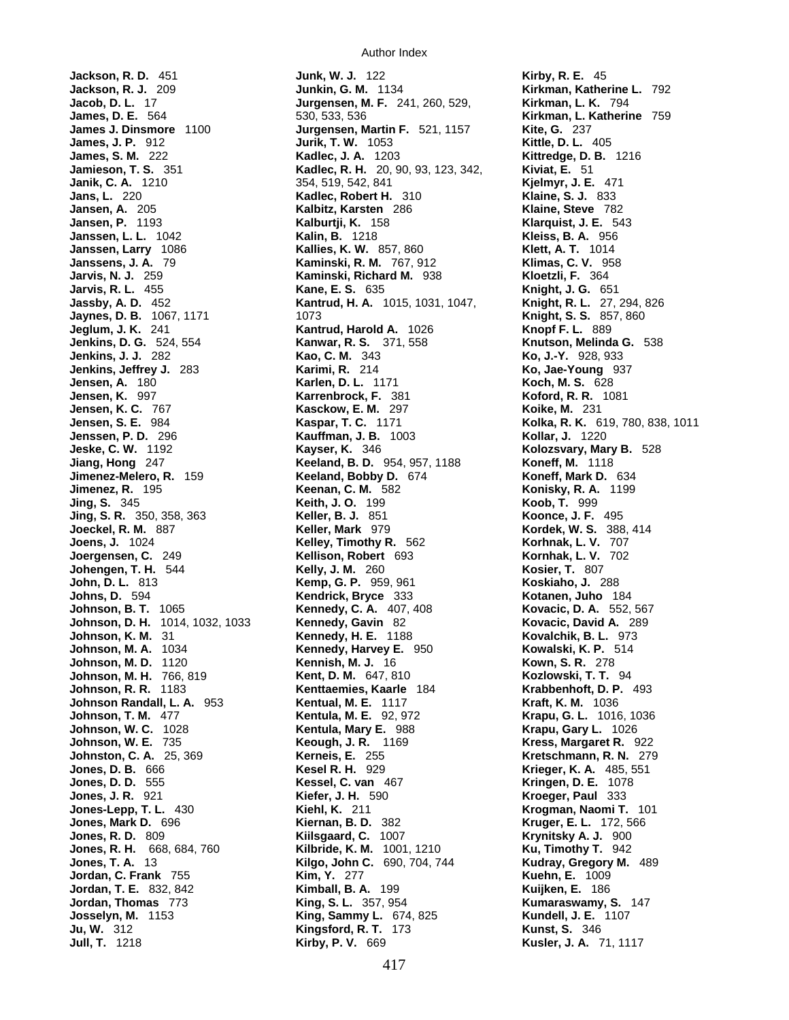**Jackson, R. D.** 451 **Jackson, R. J.** 209 **Jacob, D. L.** 17 **James, D. E.** 564 **James J. Dinsmore** 1100 **James, J. P.** 912 **James, S. M.** 222 **Jamieson, T. S.** 351 **Janik, C. A.** 1210 **Jans, L.** 220 **Jansen, A.** 205 **Jansen, P.** 1193 **Janssen, L. L.** 1042 **Janssen, Larry** 1086 **Janssens, J. A.** 79 **Jarvis, N. J.** 259 **Jarvis, R. L.** 455 **Jassby, A. D.** 452 **Jaynes, D. B.** 1067, 1171 **Jeglum, J. K.** 241 **Jenkins, D. G.** 524, 554 **Jenkins, J. J.** 282 **Jenkins, Jeffrey J.** 283 **Jensen, A.** 180 **Jensen, K.** 997 **Jensen, K. C.** 767 **Jensen, S. E.** 984 **Jenssen, P. D.** 296 **Jeske, C. W.** 1192 **Jiang, Hong** 247 **Jimenez-Melero, R.** 159 **Jimenez, R.** 195 **Jing, S.** 345 **Jing, S. R.** 350, 358, 363 **Joeckel, R. M.** 887 **Joens, J.** 1024 **Joergensen, C.** 249 **Johengen, T. H.** 544 **John, D. L.** 813 **Johns, D.** 594 **Johnson, B. T.** 1065 **Johnson, D. H.** 1014, 1032, 1033 **Johnson, K. M.** 31 **Johnson, M. A.** 1034 **Johnson, M. D.** 1120 **Johnson, M. H.** 766, 819 **Johnson, R. R.** 1183 **Johnson Randall, L. A.** 953 **Johnson, T. M.** 477 **Johnson, W. C.** 1028 **Johnson, W. E.** 735 **Johnston, C. A.** 25, 369 **Jones, D. B.** 666 **Jones, D. D.** 555 **Jones, J. R.** 921 **Jones-Lepp, T. L.** 430 **Jones, Mark D.** 696 **Jones, R. D.** 809 **Jones, R. H.** 668, 684, 760 **Jones, T. A.** 13 **Jordan, C. Frank** 755 **Jordan, T. E.** 832, 842 **Jordan, Thomas** 773 **Josselyn, M.** 1153 **Ju, W.** 312 **Jull, T.** 1218

**Junk, W. J.** 122 **Junkin, G. M.** 1134 **Jurgensen, M. F.** 241, 260, 529, 530, 533, 536 **Jurgensen, Martin F.** 521, 1157 **Jurik, T. W.** 1053 **Kadlec, J. A.** 1203 **Kadlec, R. H.** 20, 90, 93, 123, 342, 354, 519, 542, 841 **Kadlec, Robert H.** 310 **Kalbitz, Karsten** 286 **Kalburtji, K.** 158 **Kalin, B.** 1218 **Kallies, K. W.** 857, 860 **Kaminski, R. M.** 767, 912 **Kaminski, Richard M.** 938 **Kane, E. S.** 635 **Kantrud, H. A.** 1015, 1031, 1047, 1073 **Kantrud, Harold A.** 1026 **Kanwar, R. S.** 371, 558 **Kao, C. M.** 343 **Karimi, R.** 214 **Karlen, D. L.** 1171 **Karrenbrock, F.** 381 **Kasckow, E. M.** 297 **Kaspar, T. C.** 1171 **Kauffman, J. B.** 1003 **Kayser, K.** 346 **Keeland, B. D.** 954, 957, 1188 **Keeland, Bobby D.** 674 **Keenan, C. M.** 582 **Keith, J. O.** 199 **Keller, B. J.** 851 **Keller, Mark** 979 **Kelley, Timothy R.** 562 **Kellison, Robert** 693 **Kelly, J. M.** 260 **Kemp, G. P.** 959, 961 **Kendrick, Bryce** 333 **Kennedy, C. A.** 407, 408 **Kennedy, Gavin** 82 **Kennedy, H. E.** 1188 **Kennedy, Harvey E.** 950 **Kennish, M. J.** 16 **Kent, D. M.** 647, 810 **Kenttaemies, Kaarle** 184 **Kentual, M. E.** 1117 **Kentula, M. E.** 92, 972 **Kentula, Mary E.** 988 **Keough, J. R.** 1169 **Kerneis, E.** 255 **Kesel R. H.** 929 **Kessel, C. van** 467 **Kiefer, J. H.** 590 **Kiehl, K.** 211 **Kiernan, B. D.** 382 **Kiilsgaard, C.** 1007 **Kilbride, K. M.** 1001, 1210 **Kilgo, John C.** 690, 704, 744 **Kim, Y.** 277 **Kimball, B. A.** 199 **King, S. L.** 357, 954 **King, Sammy L.** 674, 825 **Kingsford, R. T.** 173 **Kirby, P. V.** 669

**Kirby, R. E.** 45 **Kirkman, Katherine L.** 792 **Kirkman, L. K.** 794 **Kirkman, L. Katherine** 759 **Kite, G.** 237 **Kittle, D. L.** 405 **Kittredge, D. B.** 1216 **Kiviat, E.** 51 **Kjelmyr, J. E.** 471 **Klaine, S. J.** 833 **Klaine, Steve** 782 **Klarquist, J. E.** 543 **Kleiss, B. A.** 956 **Klett, A. T.** 1014 **Klimas, C. V.** 958 **Kloetzli, F.** 364 **Knight, J. G.** 651 **Knight, R. L.** 27, 294, 826 **Knight, S. S.** 857, 860 **Knopf F. L.** 889 **Knutson, Melinda G.** 538 **Ko, J.-Y.** 928, 933 **Ko, Jae-Young** 937 **Koch, M. S.** 628 **Koford, R. R.** 1081 **Koike, M.** 231 **Kolka, R. K.** 619, 780, 838, 1011 **Kollar, J.** 1220 **Kolozsvary, Mary B.** 528 **Koneff, M.** 1118 **Koneff, Mark D.** 634 **Konisky, R. A.** 1199 **Koob, T.** 999 **Koonce, J. F.** 495 **Kordek, W. S.** 388, 414 **Korhnak, L. V.** 707 **Kornhak, L. V.** 702 **Kosier, T.** 807 **Koskiaho, J.** 288 **Kotanen, Juho** 184 **Kovacic, D. A.** 552, 567 **Kovacic, David A.** 289 **Kovalchik, B. L.** 973 **Kowalski, K. P.** 514 **Kown, S. R.** 278 **Kozlowski, T. T.** 94 **Krabbenhoft, D. P.** 493 **Kraft, K. M.** 1036 **Krapu, G. L.** 1016, 1036 **Krapu, Gary L.** 1026 **Kress, Margaret R.** 922 **Kretschmann, R. N.** 279 **Krieger, K. A.** 485, 551 **Kringen, D. E.** 1078 **Kroeger, Paul** 333 **Krogman, Naomi T.** 101 **Kruger, E. L.** 172, 566 **Krynitsky A. J.** 900 **Ku, Timothy T.** 942 **Kudray, Gregory M.** 489 **Kuehn, E.** 1009 **Kuijken, E.** 186 **Kumaraswamy, S.** 147 **Kundell, J. E.** 1107 **Kunst, S.** 346 **Kusler, J. A.** 71, 1117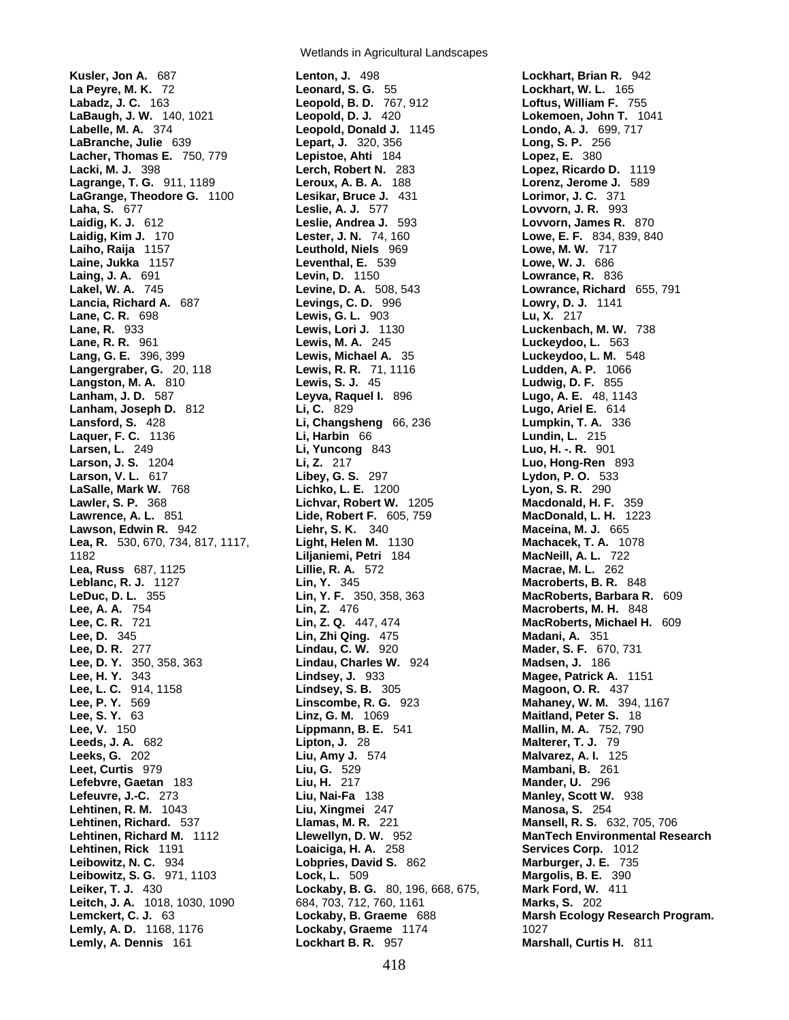**Kusler, Jon A.** 687 **La Peyre, M. K.** 72 **Labadz, J. C.** 163 **LaBaugh, J. W.** 140, 1021 **Labelle, M. A.** 374 **LaBranche, Julie** 639 **Lacher, Thomas E.** 750, 779 **Lacki, M. J.** 398 **Lagrange, T. G.** 911, 1189 **LaGrange, Theodore G.** 1100 **Laha, S.** 677 **Laidig, K. J.** 612 **Laidig, Kim J.** 170 **Laiho, Raija** 1157 **Laine, Jukka** 1157 **Laing, J. A.** 691 **Lakel, W. A.** 745 **Lancia, Richard A.** 687 **Lane, C. R.** 698 **Lane, R.** 933 **Lane, R. R.** 961 **Lang, G. E.** 396, 399 **Langergraber, G.** 20, 118 **Langston, M. A.** 810 **Lanham, J. D.** 587 **Lanham, Joseph D.** 812 **Lansford, S.** 428 **Laquer, F. C.** 1136 **Larsen, L.** 249 **Larson, J. S.** 1204 **Larson, V. L.** 617 **LaSalle, Mark W.** 768 **Lawler, S. P.** 368 **Lawrence, A. L.** 851 **Lawson, Edwin R.** 942 **Lea, R.** 530, 670, 734, 817, 1117, 1182 **Lea, Russ** 687, 1125 **Leblanc, R. J.** 1127 **LeDuc, D. L.** 355 **Lee, A. A.** 754 **Lee, C. R.** 721 **Lee, D.** 345 **Lee, D. R.** 277 **Lee, D. Y.** 350, 358, 363 **Lee, H. Y.** 343 **Lee, L. C.** 914, 1158 **Lee, P. Y.** 569 **Lee, S. Y.** 63 **Lee, V.** 150 **Leeds, J. A.** 682 **Leeks, G.** 202 **Leet, Curtis** 979 **Lefebvre, Gaetan** 183 **Lefeuvre, J.-C.** 273 **Lehtinen, R. M.** 1043 **Lehtinen, Richard.** 537 **Lehtinen, Richard M.** 1112 **Lehtinen, Rick** 1191 **Leibowitz, N. C.** 934 **Leibowitz, S. G.** 971, 1103 **Leiker, T. J.** 430 **Leitch, J. A.** 1018, 1030, 1090 **Lemckert, C. J.** 63 **Lemly, A. D.** 1168, 1176 **Lemly, A. Dennis** 161

Wetlands in Agricultural Landscapes

**Lenton, J.** 498 **Leonard, S. G.** 55 **Leopold, B. D.** 767, 912 **Leopold, D. J.** 420 **Leopold, Donald J.** 1145 **Lepart, J.** 320, 356 **Lepistoe, Ahti** 184 **Lerch, Robert N.** 283 **Leroux, A. B. A.** 188 **Lesikar, Bruce J.** 431 **Leslie, A. J.** 577 **Leslie, Andrea J.** 593 **Lester, J. N.** 74, 160 **Leuthold, Niels** 969 **Leventhal, E.** 539 **Levin, D.** 1150 **Levine, D. A.** 508, 543 **Levings, C. D.** 996 **Lewis, G. L.** 903 **Lewis, Lori J.** 1130 **Lewis, M. A.** 245 **Lewis, Michael A.** 35 **Lewis, R. R.** 71, 1116 **Lewis, S. J.** 45 **Leyva, Raquel I.** 896 **Li, C.** 829 **Li, Changsheng** 66, 236 **Li, Harbin** 66 **Li, Yuncong** 843 **Li, Z.** 217 **Libey, G. S.** 297 **Lichko, L. E.** 1200 **Lichvar, Robert W.** 1205 **Lide, Robert F.** 605, 759 **Liehr, S. K.** 340 **Light, Helen M.** 1130 **Liljaniemi, Petri** 184 **Lillie, R. A.** 572 **Lin, Y.** 345 **Lin, Y. F.** 350, 358, 363 **Lin, Z.** 476 **Lin, Z. Q.** 447, 474 **Lin, Zhi Qing.** 475 **Lindau, C. W.** 920 **Lindau, Charles W.** 924 **Lindsey, J.** 933 **Lindsey, S. B.** 305 **Linscombe, R. G.** 923 **Linz, G. M.** 1069 **Lippmann, B. E.** 541 **Lipton, J.** 28 **Liu, Amy J.** 574 **Liu, G.** 529 **Liu, H.** 217 **Liu, Nai-Fa** 138 **Liu, Xingmei** 247 **Llamas, M. R.** 221 **Llewellyn, D. W.** 952 **Loaiciga, H. A.** 258 **Lobpries, David S.** 862 **Lock, L.** 509 **Lockaby, B. G.** 80, 196, 668, 675, 684, 703, 712, 760, 1161 **Lockaby, B. Graeme** 688 **Lockaby, Graeme** 1174 **Lockhart B. R.** 957

**Lockhart, Brian R.** 942 **Lockhart, W. L.** 165 **Loftus, William F.** 755 **Lokemoen, John T.** 1041 **Londo, A. J.** 699, 717 **Long, S. P.** 256 **Lopez, E.** 380 **Lopez, Ricardo D.** 1119 **Lorenz, Jerome J.** 589 **Lorimor, J. C.** 371 **Lovvorn, J. R.** 993 **Lovvorn, James R.** 870 **Lowe, E. F.** 834, 839, 840 **Lowe, M. W.** 717 **Lowe, W. J.** 686 **Lowrance, R.** 836 **Lowrance, Richard** 655, 791 **Lowry, D. J.** 1141 **Lu, X.** 217 **Luckenbach, M. W.** 738 **Luckeydoo, L.** 563 **Luckeydoo, L. M.** 548 **Ludden, A. P.** 1066 **Ludwig, D. F.** 855 **Lugo, A. E.** 48, 1143 **Lugo, Ariel E.** 614 **Lumpkin, T. A.** 336 **Lundin, L.** 215 **Luo, H. -. R.** 901 **Luo, Hong-Ren** 893 **Lydon, P. O.** 533 **Lyon, S. R.** 290 **Macdonald, H. F.** 359 **MacDonald, L. H.** 1223 **Maceina, M. J.** 665 **Machacek, T. A.** 1078 **MacNeill, A. L.** 722 **Macrae, M. L.** 262 **Macroberts, B. R.** 848 **MacRoberts, Barbara R.** 609 **Macroberts, M. H.** 848 **MacRoberts, Michael H.** 609 **Madani, A.** 351 **Mader, S. F.** 670, 731 **Madsen, J.** 186 **Magee, Patrick A.** 1151 **Magoon, O. R.** 437 **Mahaney, W. M.** 394, 1167 **Maitland, Peter S.** 18 **Mallin, M. A.** 752, 790 **Malterer, T. J.** 79 **Malvarez, A. I.** 125 **Mambani, B.** 261 **Mander, U.** 296 **Manley, Scott W.** 938 **Manosa, S.** 254 **Mansell, R. S.** 632, 705, 706 **ManTech Environmental Research Services Corp.** 1012 **Marburger, J. E.** 735 **Margolis, B. E.** 390 **Mark Ford, W.** 411 **Marks, S.** 202 **Marsh Ecology Research Program.** 1027 **Marshall, Curtis H.** 811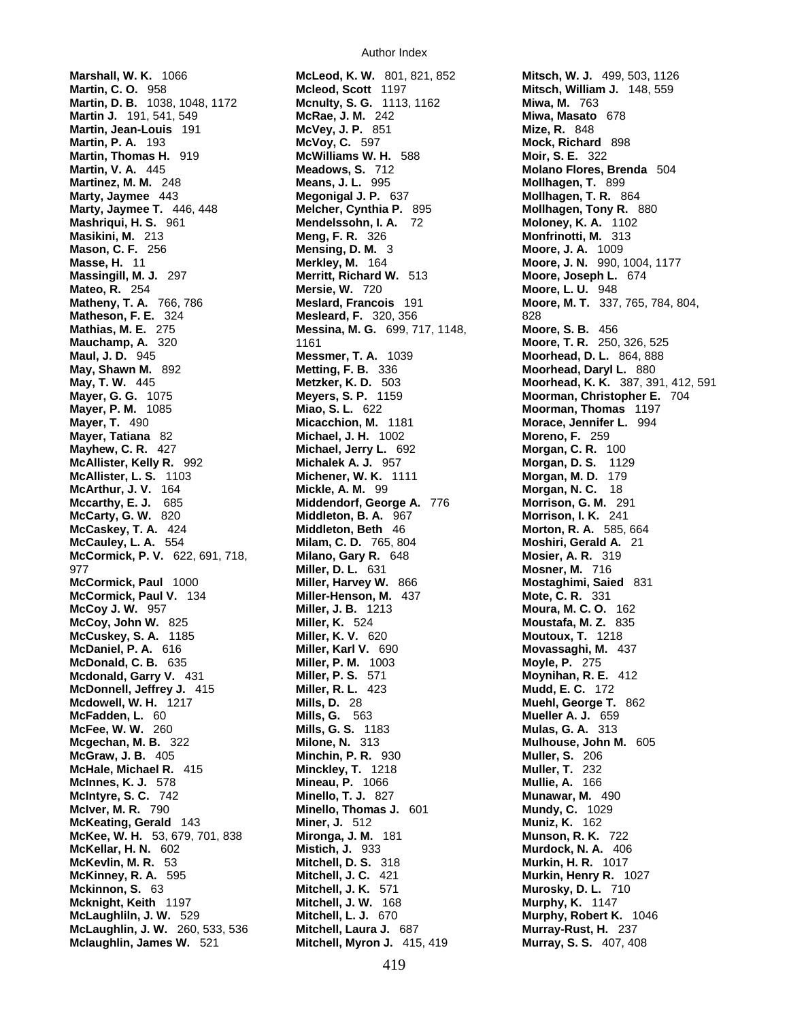Author Index

**Marshall, W. K.** 1066 **Martin, C. O.** 958 **Martin, D. B.** 1038, 1048, 1172 **Martin J.** 191, 541, 549 **Martin, Jean-Louis** 191 **Martin, P. A.** 193 **Martin, Thomas H.** 919 **Martin, V. A.** 445 **Martinez, M. M.** 248 **Marty, Jaymee** 443 **Marty, Jaymee T.** 446, 448 **Mashriqui, H. S.** 961 **Masikini, M.** 213 **Mason, C. F.** 256 **Masse, H.** 11 **Massingill, M. J.** 297 **Mateo, R.** 254 **Matheny, T. A.** 766, 786 **Matheson, F. E.** 324 **Mathias, M. E.** 275 **Mauchamp, A.** 320 **Maul, J. D.** 945 **May, Shawn M.** 892 **May, T. W.** 445 **Mayer, G. G.** 1075 **Mayer, P. M.** 1085 **Mayer, T.** 490 **Mayer, Tatiana** 82 **Mayhew, C. R.** 427 **McAllister, Kelly R.** 992 **McAllister, L. S.** 1103 **McArthur, J. V.** 164 **Mccarthy, E. J.** 685 **McCarty, G. W.** 820 **McCaskey, T. A.** 424 **McCauley, L. A.** 554 **McCormick, P. V.** 622, 691, 718, 977 **McCormick, Paul** 1000 **McCormick, Paul V.** 134 **McCoy J. W.** 957 **McCoy, John W.** 825 **McCuskey, S. A.** 1185 **McDaniel, P. A.** 616 **McDonald, C. B.** 635 **Mcdonald, Garry V.** 431 **McDonnell, Jeffrey J.** 415 **Mcdowell, W. H.** 1217 **McFadden, L.** 60 **McFee, W. W.** 260 **Mcgechan, M. B.** 322 **McGraw, J. B.** 405 **McHale, Michael R.** 415 **McInnes, K. J.** 578 **McIntyre, S. C.** 742 **McIver, M. R.** 790 **McKeating, Gerald** 143 **McKee, W. H.** 53, 679, 701, 838 **McKellar, H. N.** 602 **McKevlin, M. R.** 53 **McKinney, R. A.** 595 **Mckinnon, S.** 63 **Mcknight, Keith** 1197 **McLaughliln, J. W.** 529 **McLaughlin, J. W.** 260, 533, 536 **Mclaughlin, James W.** 521

**McLeod, K. W.** 801, 821, 852 **Mcleod, Scott** 1197 **Mcnulty, S. G.** 1113, 1162 **McRae, J. M.** 242 **McVey, J. P.** 851 **McVoy, C.** 597 **McWilliams W. H.** 588 **Meadows, S.** 712 **Means, J. L.** 995 **Megonigal J. P.** 637 **Melcher, Cynthia P.** 895 **Mendelssohn, I. A.** 72 **Meng, F. R.** 326 **Mensing, D. M.** 3 **Merkley, M.** 164 **Merritt, Richard W.** 513 **Mersie, W.** 720 **Meslard, Francois** 191 **Mesleard, F.** 320, 356 **Messina, M. G.** 699, 717, 1148, 1161 **Messmer, T. A.** 1039 **Metting, F. B.** 336 **Metzker, K. D.** 503 **Meyers, S. P.** 1159 **Miao, S. L.** 622 **Micacchion, M.** 1181 **Michael, J. H.** 1002 **Michael, Jerry L.** 692 **Michalek A. J.** 957 **Michener, W. K.** 1111 **Mickle, A. M.** 99 **Middendorf, George A.** 776 **Middleton, B. A.** 967 **Middleton, Beth** 46 **Milam, C. D.** 765, 804 **Milano, Gary R.** 648 **Miller, D. L.** 631 **Miller, Harvey W.** 866 **Miller-Henson, M.** 437 **Miller, J. B.** 1213 **Miller, K.** 524 **Miller, K. V.** 620 **Miller, Karl V.** 690 **Miller, P. M.** 1003 **Miller, P. S.** 571 **Miller, R. L.** 423 **Mills, D.** 28 **Mills, G.** 563 **Mills, G. S.** 1183 **Milone, N.** 313 **Minchin, P. R.** 930 **Minckley, T.** 1218 **Mineau, P.** 1066 **Minello, T. J.** 827 **Minello, Thomas J.** 601 **Miner, J.** 512 **Mironga, J. M.** 181 **Mistich, J.** 933 **Mitchell, D. S.** 318 **Mitchell, J. C.** 421 **Mitchell, J. K.** 571 **Mitchell, J. W.** 168 **Mitchell, L. J.** 670 **Mitchell, Laura J.** 687 **Mitchell, Myron J.** 415, 419

**Mitsch, W. J.** 499, 503, 1126 **Mitsch, William J.** 148, 559 **Miwa, M.** 763 **Miwa, Masato** 678 **Mize, R.** 848 **Mock, Richard** 898 **Moir, S. E.** 322 **Molano Flores, Brenda** 504 **Mollhagen, T.** 899 **Mollhagen, T. R.** 864 **Mollhagen, Tony R.** 880 **Moloney, K. A.** 1102 **Monfrinotti, M.** 313 **Moore, J. A.** 1009 **Moore, J. N.** 990, 1004, 1177 **Moore, Joseph L.** 674 **Moore, L. U.** 948 **Moore, M. T.** 337, 765, 784, 804, 828 **Moore, S. B.** 456 **Moore, T. R.** 250, 326, 525 **Moorhead, D. L.** 864, 888 **Moorhead, Daryl L.** 880 **Moorhead, K. K.** 387, 391, 412, 591 **Moorman, Christopher E.** 704 **Moorman, Thomas** 1197 **Morace, Jennifer L.** 994 **Moreno, F.** 259 **Morgan, C. R.** 100 **Morgan, D. S.** 1129 **Morgan, M. D.** 179 **Morgan, N. C.** 18 **Morrison, G. M.** 291 **Morrison, I. K.** 241 **Morton, R. A.** 585, 664 **Moshiri, Gerald A.** 21 **Mosier, A. R.** 319 **Mosner, M.** 716 **Mostaghimi, Saied** 831 **Mote, C. R.** 331 **Moura, M. C. O.** 162 **Moustafa, M. Z.** 835 **Moutoux, T.** 1218 **Movassaghi, M.** 437 **Moyle, P.** 275 **Moynihan, R. E.** 412 **Mudd, E. C.** 172 **Muehl, George T.** 862 **Mueller A. J.** 659 **Mulas, G. A.** 313 **Mulhouse, John M.** 605 **Muller, S.** 206 **Muller, T.** 232 **Mullie, A.** 166 **Munawar, M.** 490 **Mundy, C.** 1029 **Muniz, K.** 162 **Munson, R. K.** 722 **Murdock, N. A.** 406 **Murkin, H. R.** 1017 **Murkin, Henry R.** 1027 **Murosky, D. L.** 710 **Murphy, K.** 1147 **Murphy, Robert K.** 1046 **Murray-Rust, H.** 237 **Murray, S. S.** 407, 408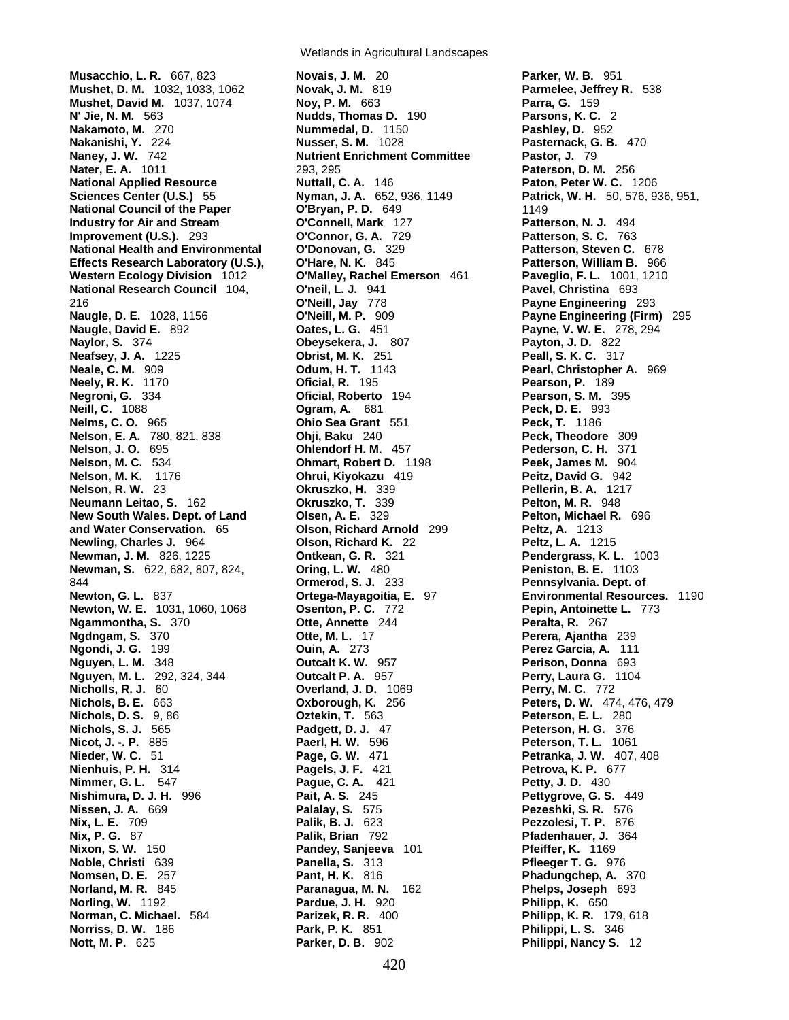**Musacchio, L. R.** 667, 823 **Mushet, D. M.** 1032, 1033, 1062 **Mushet, David M.** 1037, 1074 **N' Jie, N. M.** 563 **Nakamoto, M.** 270 **Nakanishi, Y.** 224 **Naney, J. W.** 742 **Nater, E. A.** 1011 **National Applied Resource Sciences Center (U.S.)** 55 **National Council of the Paper Industry for Air and Stream Improvement (U.S.).** 293 **National Health and Environmental Effects Research Laboratory (U.S.), Western Ecology Division** 1012 **National Research Council** 104, 216 **Naugle, D. E.** 1028, 1156 **Naugle, David E.** 892 **Naylor, S.** 374 **Neafsey, J. A.** 1225 **Neale, C. M.** 909 **Neely, R. K.** 1170 **Negroni, G.** 334 **Neill, C.** 1088 **Nelms, C. O.** 965 **Nelson, E. A.** 780, 821, 838 **Nelson, J. O.** 695 **Nelson, M. C.** 534 **Nelson, M. K.** 1176 **Nelson, R. W.** 23 **Neumann Leitao, S.** 162 **New South Wales. Dept. of Land and Water Conservation.** 65 **Newling, Charles J.** 964 **Newman, J. M.** 826, 1225 **Newman, S.** 622, 682, 807, 824, 844 **Newton, G. L.** 837 **Newton, W. E.** 1031, 1060, 1068 **Ngammontha, S.** 370 **Ngdngam, S.** 370 **Ngondi, J. G.** 199 **Nguyen, L. M.** 348 **Nguyen, M. L.** 292, 324, 344 **Nicholls, R. J.** 60 **Nichols, B. E.** 663 **Nichols, D. S.** 9, 86 **Nichols, S. J.** 565 **Nicot, J. -. P.** 885 **Nieder, W. C.** 51 **Nienhuis, P. H.** 314 **Nimmer, G. L.** 547 **Nishimura, D. J. H.** 996 **Nissen, J. A.** 669 **Nix, L. E.** 709 **Nix, P. G.** 87 **Nixon, S. W.** 150 **Noble, Christi** 639 **Nomsen, D. E.** 257 **Norland, M. R.** 845 **Norling, W.** 1192 **Norman, C. Michael.** 584 **Norriss, D. W.** 186 **Nott, M. P.** 625

Wetlands in Agricultural Landscapes

**Novais, J. M.** 20 **Novak, J. M.** 819 **Noy, P. M.** 663 **Nudds, Thomas D.** 190 **Nummedal, D.** 1150 **Nusser, S. M.** 1028 **Nutrient Enrichment Committee** 293, 295 **Nuttall, C. A.** 146 **Nyman, J. A.** 652, 936, 1149 **O'Bryan, P. D.** 649 **O'Connell, Mark** 127 **O'Connor, G. A.** 729 **O'Donovan, G.** 329 **O'Hare, N. K.** 845 **O'Malley, Rachel Emerson** 461 **O'neil, L. J.** 941 **O'Neill, Jay** 778 **O'Neill, M. P.** 909 **Oates, L. G.** 451 **Obeysekera, J.** 807 **Obrist, M. K.** 251 **Odum, H. T.** 1143 **Oficial, R.** 195 **Oficial, Roberto** 194 **Ogram, A.** 681 **Ohio Sea Grant** 551 **Ohji, Baku** 240 **Ohlendorf H. M.** 457 **Ohmart, Robert D.** 1198 **Ohrui, Kiyokazu** 419 **Okruszko, H.** 339 **Okruszko, T.** 339 **Olsen, A. E.** 329 **Olson, Richard Arnold** 299 **Olson, Richard K.** 22 **Ontkean, G. R.** 321 **Oring, L. W.** 480 **Ormerod, S. J.** 233 **Ortega-Mayagoitia, E.** 97 **Osenton, P. C.** 772 **Otte, Annette** 244 **Otte, M. L.** 17 **Ouin, A.** 273 **Outcalt K. W.** 957 **Outcalt P. A.** 957 **Overland, J. D.** 1069 **Oxborough, K.** 256 **Oztekin, T.** 563 **Padgett, D. J.** 47 **Paerl, H. W.** 596 **Page, G. W.** 471 **Pagels, J. F.** 421 **Pague, C. A.** 421 **Pait, A. S.** 245 **Palalay, S.** 575 **Palik, B. J.** 623 **Palik, Brian** 792 **Pandey, Sanjeeva** 101 **Panella, S.** 313 **Pant, H. K.** 816 **Paranagua, M. N.** 162 **Pardue, J. H.** 920 **Parizek, R. R.** 400 **Park, P. K.** 851 **Parker, D. B.** 902

**Parker, W. B.** 951 **Parmelee, Jeffrey R.** 538 **Parra, G.** 159 **Parsons, K. C.** 2 **Pashley, D.** 952 **Pasternack, G. B.** 470 **Pastor, J.** 79 **Paterson, D. M.** 256 **Paton, Peter W. C.** 1206 **Patrick, W. H.** 50, 576, 936, 951, 1149 **Patterson, N. J.** 494 **Patterson, S. C.** 763 **Patterson, Steven C.** 678 **Patterson, William B.** 966 **Paveglio, F. L.** 1001, 1210 **Pavel, Christina** 693 **Payne Engineering** 293 **Payne Engineering (Firm)** 295 **Payne, V. W. E.** 278, 294 **Payton, J. D.** 822 **Peall, S. K. C.** 317 **Pearl, Christopher A.** 969 **Pearson, P.** 189 **Pearson, S. M.** 395 **Peck, D. E.** 993 **Peck, T.** 1186 **Peck, Theodore** 309 **Pederson, C. H.** 371 Peek, James M. 904 **Peitz, David G.** 942 **Pellerin, B. A.** 1217 **Pelton, M. R.** 948 **Pelton, Michael R.** 696 **Peltz, A.** 1213 **Peltz, L. A.** 1215 **Pendergrass, K. L.** 1003 **Peniston, B. E.** 1103 **Pennsylvania. Dept. of Environmental Resources.** 1190 **Pepin, Antoinette L.** 773 **Peralta, R.** 267 **Perera, Ajantha** 239 **Perez Garcia, A.** 111 **Perison, Donna** 693 **Perry, Laura G.** 1104 **Perry, M. C.** 772 **Peters, D. W.** 474, 476, 479 **Peterson, E. L.** 280 **Peterson, H. G.** 376 **Peterson, T. L.** 1061 **Petranka, J. W.** 407, 408 **Petrova, K. P.** 677 **Petty, J. D.** 430 **Pettygrove, G. S.** 449 **Pezeshki, S. R.** 576 **Pezzolesi, T. P.** 876 **Pfadenhauer, J.** 364 **Pfeiffer, K.** 1169 **Pfleeger T. G.** 976 **Phadungchep, A.** 370 **Phelps, Joseph** 693 **Philipp, K.** 650 **Philipp, K. R.** 179, 618 **Philippi, L. S.** 346 **Philippi, Nancy S.** 12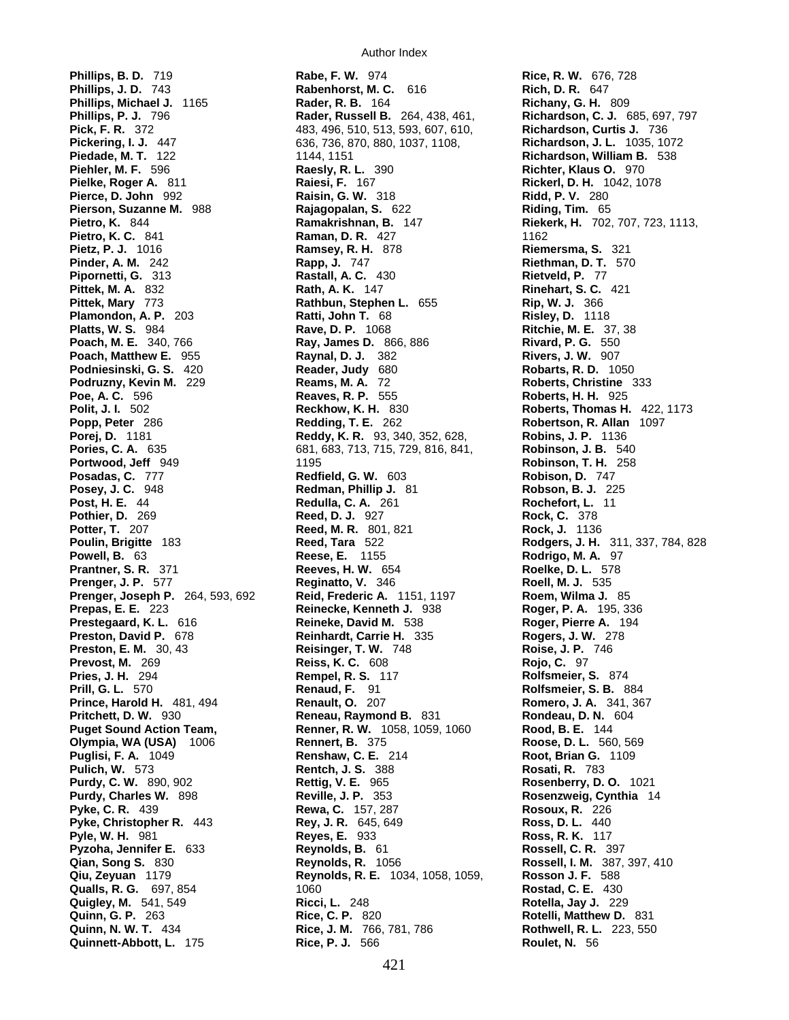**Phillips, B. D.** 719 **Phillips, J. D.** 743 **Phillips, Michael J.** 1165 **Phillips, P. J.** 796 **Pick, F. R.** 372 **Pickering, I. J.** 447 **Piedade, M. T.** 122 **Piehler, M. F.** 596 **Pielke, Roger A.** 811 **Pierce, D. John** 992 **Pierson, Suzanne M.** 988 **Pietro, K.** 844 **Pietro, K. C.** 841 **Pietz, P. J.** 1016 **Pinder, A. M.** 242 **Pipornetti, G.** 313 **Pittek, M. A.** 832 **Pittek, Mary** 773 **Plamondon, A. P.** 203 **Platts, W. S.** 984 **Poach, M. E.** 340, 766 **Poach, Matthew E.** 955 **Podniesinski, G. S.** 420 **Podruzny, Kevin M.** 229 **Poe, A. C.** 596 **Polit, J. I.** 502 **Popp, Peter** 286 **Porej, D.** 1181 **Pories, C. A.** 635 Portwood, Jeff 949 **Posadas, C.** 777 **Posey, J. C.** 948 **Post, H. E.** 44 **Pothier, D.** 269 **Potter, T.** 207 **Poulin, Brigitte** 183 **Powell, B.** 63 **Prantner, S. R.** 371 **Prenger, J. P.** 577 **Prenger, Joseph P.** 264, 593, 692 **Prepas, E. E.** 223 **Prestegaard, K. L.** 616 **Preston, David P.** 678 **Preston, E. M.** 30, 43 **Prevost, M.** 269 **Pries, J. H.** 294 **Prill, G. L.** 570 **Prince, Harold H.** 481, 494 **Pritchett, D. W.** 930 **Puget Sound Action Team, Olympia, WA (USA)** 1006 **Puglisi, F. A.** 1049 **Pulich, W.** 573 **Purdy, C. W.** 890, 902 **Purdy, Charles W.** 898 **Pyke, C. R.** 439 **Pyke, Christopher R.** 443 **Pyle, W. H.** 981 **Pyzoha, Jennifer E.** 633 **Qian, Song S.** 830 **Qiu, Zeyuan** 1179 **Qualls, R. G.** 697, 854 **Quigley, M.** 541, 549 **Quinn, G. P.** 263 **Quinn, N. W. T.** 434 **Quinnett-Abbott, L.** 175

Author Index

**Rabe, F. W.** 974 **Rabenhorst, M. C.** 616 **Rader, R. B.** 164 **Rader, Russell B.** 264, 438, 461, 483, 496, 510, 513, 593, 607, 610, 636, 736, 870, 880, 1037, 1108, 1144, 1151 **Raesly, R. L.** 390 **Raiesi, F.** 167 **Raisin, G. W.** 318 **Rajagopalan, S.** 622 **Ramakrishnan, B.** 147 **Raman, D. R.** 427 **Ramsey, R. H.** 878 **Rapp, J.** 747 **Rastall, A. C.** 430 **Rath, A. K.** 147 **Rathbun, Stephen L.** 655 **Ratti, John T.** 68 **Rave, D. P.** 1068 **Ray, James D.** 866, 886 **Raynal, D. J.** 382 **Reader, Judy** 680 **Reams, M. A.** 72 **Reaves, R. P.** 555 **Reckhow, K. H.** 830 **Redding, T. E.** 262 **Reddy, K. R.** 93, 340, 352, 628, 681, 683, 713, 715, 729, 816, 841, 1195 **Redfield, G. W.** 603 **Redman, Phillip J.** 81 **Redulla, C. A.** 261 **Reed, D. J.** 927 **Reed, M. R.** 801, 821 **Reed, Tara** 522 **Reese, E.** 1155 **Reeves, H. W.** 654 **Reginatto, V.** 346 **Reid, Frederic A.** 1151, 1197 **Reinecke, Kenneth J.** 938 **Reineke, David M.** 538 **Reinhardt, Carrie H.** 335 **Reisinger, T. W.** 748 **Reiss, K. C.** 608 **Rempel, R. S.** 117 **Renaud, F.** 91 **Renault, O.** 207 **Reneau, Raymond B.** 831 **Renner, R. W.** 1058, 1059, 1060 **Rennert, B.** 375 **Renshaw, C. E.** 214 **Rentch, J. S.** 388 **Rettig, V. E.** 965 **Reville, J. P.** 353 **Rewa, C.** 157, 287 **Rey, J. R.** 645, 649 **Reyes, E.** 933 **Reynolds, B.** 61 **Reynolds, R.** 1056 **Reynolds, R. E.** 1034, 1058, 1059, 1060 **Ricci, L.** 248 **Rice, C. P.** 820 **Rice, J. M.** 766, 781, 786 **Rice, P. J.** 566

**Rice, R. W.** 676, 728 **Rich, D. R.** 647 **Richany, G. H.** 809 **Richardson, C. J.** 685, 697, 797 **Richardson, Curtis J.** 736 **Richardson, J. L.** 1035, 1072 **Richardson, William B.** 538 **Richter, Klaus O.** 970 **Rickerl, D. H.** 1042, 1078 **Ridd, P. V.** 280 **Riding, Tim.** 65 **Riekerk, H.** 702, 707, 723, 1113, 1162 **Riemersma, S.** 321 **Riethman, D. T.** 570 **Rietveld, P.** 77 **Rinehart, S. C.** 421 **Rip, W. J.** 366 **Risley, D.** 1118 **Ritchie, M. E.** 37, 38 **Rivard, P. G.** 550 **Rivers, J. W.** 907 **Robarts, R. D.** 1050 **Roberts, Christine** 333 **Roberts, H. H.** 925 **Roberts, Thomas H.** 422, 1173 **Robertson, R. Allan** 1097 **Robins, J. P.** 1136 **Robinson, J. B.** 540 **Robinson, T. H.** 258 **Robison, D.** 747 **Robson, B. J.** 225 **Rochefort, L.** 11 **Rock, C.** 378 **Rock, J.** 1136 **Rodgers, J. H.** 311, 337, 784, 828 **Rodrigo, M. A.** 97 **Roelke, D. L.** 578 **Roell, M. J.** 535 **Roem, Wilma J.** 85 **Roger, P. A.** 195, 336 **Roger, Pierre A.** 194 **Rogers, J. W.** 278 **Roise, J. P.** 746 **Rojo, C.** 97 **Rolfsmeier, S.** 874 **Rolfsmeier, S. B.** 884 **Romero, J. A.** 341, 367 **Rondeau, D. N.** 604 **Rood, B. E.** 144 **Roose, D. L.** 560, 569 **Root, Brian G.** 1109 **Rosati, R.** 783 **Rosenberry, D. O.** 1021 **Rosenzweig, Cynthia** 14 **Rosoux, R.** 226 **Ross, D. L.** 440 **Ross, R. K.** 117 **Rossell, C. R.** 397 **Rossell, I. M.** 387, 397, 410 **Rosson J. F.** 588 **Rostad, C. E.** 430 **Rotella, Jay J.** 229 **Rotelli, Matthew D.** 831 **Rothwell, R. L.** 223, 550 **Roulet, N.** 56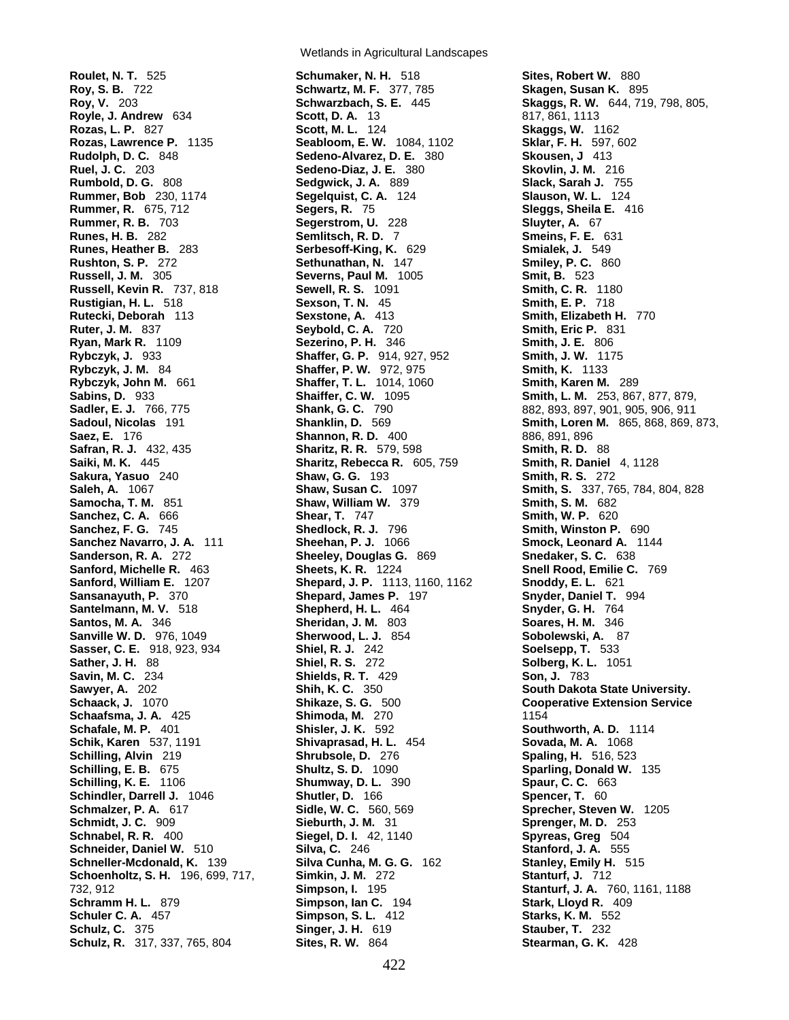**Roulet, N. T.** 525 **Roy, S. B.** 722 **Roy, V.** 203 **Royle, J. Andrew** 634 **Rozas, L. P.** 827 **Rozas, Lawrence P.** 1135 **Rudolph, D. C.** 848 **Ruel, J. C.** 203 **Rumbold, D. G.** 808 **Rummer, Bob** 230, 1174 **Rummer, R.** 675, 712 **Rummer, R. B.** 703 **Runes, H. B.** 282 **Runes, Heather B.** 283 **Rushton, S. P.** 272 **Russell, J. M.** 305 **Russell, Kevin R.** 737, 818 **Rustigian, H. L.** 518 **Rutecki, Deborah** 113 **Ruter, J. M.** 837 **Ryan, Mark R.** 1109 **Rybczyk, J.** 933 **Rybczyk, J. M.** 84 **Rybczyk, John M.** 661 **Sabins, D.** 933 **Sadler, E. J.** 766, 775 **Sadoul, Nicolas** 191 **Saez, E.** 176 **Safran, R. J.** 432, 435 **Saiki, M. K.** 445 **Sakura, Yasuo** 240 **Saleh, A.** 1067 **Samocha, T. M.** 851 **Sanchez, C. A.** 666 **Sanchez, F. G.** 745 **Sanchez Navarro, J. A.** 111 **Sanderson, R. A.** 272 **Sanford, Michelle R.** 463 **Sanford, William E.** 1207 **Sansanayuth, P.** 370 **Santelmann, M. V.** 518 **Santos, M. A.** 346 **Sanville W. D.** 976, 1049 **Sasser, C. E.** 918, 923, 934 **Sather, J. H. 88 Savin, M. C.** 234 **Sawyer, A.** 202 **Schaack, J.** 1070 **Schaafsma, J. A.** 425 **Schafale, M. P.** 401 **Schik, Karen** 537, 1191 **Schilling, Alvin** 219 **Schilling, E. B.** 675 **Schilling, K. E.** 1106 **Schindler, Darrell J.** 1046 **Schmalzer, P. A.** 617 **Schmidt, J. C.** 909 **Schnabel, R. R.** 400 **Schneider, Daniel W.** 510 **Schneller-Mcdonald, K.** 139 **Schoenholtz, S. H.** 196, 699, 717, 732, 912 **Schramm H. L.** 879 **Schuler C. A.** 457 **Schulz, C.** 375 **Schulz, R.** 317, 337, 765, 804

Wetlands in Agricultural Landscapes

**Schumaker, N. H.** 518 **Schwartz, M. F.** 377, 785 **Schwarzbach, S. E.** 445 **Scott, D. A.** 13 **Scott, M. L.** 124 **Seabloom, E. W.** 1084, 1102 **Sedeno-Alvarez, D. E.** 380 **Sedeno-Diaz, J. E.** 380 **Sedgwick, J. A.** 889 **Segelquist, C. A.** 124 **Segers, R.** 75 **Segerstrom, U.** 228 **Semlitsch, R. D.** 7 **Serbesoff-King, K.** 629 **Sethunathan, N.** 147 **Severns, Paul M.** 1005 **Sewell, R. S.** 1091 **Sexson, T. N.** 45 **Sexstone, A.** 413 **Seybold, C. A.** 720 **Sezerino, P. H.** 346 **Shaffer, G. P.** 914, 927, 952 **Shaffer, P. W.** 972, 975 **Shaffer, T. L.** 1014, 1060 **Shaiffer, C. W.** 1095 **Shank, G. C.** 790 **Shanklin, D.** 569 **Shannon, R. D.** 400 **Sharitz, R. R.** 579, 598 **Sharitz, Rebecca R.** 605, 759 **Shaw, G. G.** 193 **Shaw, Susan C.** 1097 **Shaw, William W.** 379 **Shear, T.** 747 **Shedlock, R. J.** 796 **Sheehan, P. J.** 1066 **Sheeley, Douglas G.** 869 **Sheets, K. R.** 1224 **Shepard, J. P.** 1113, 1160, 1162 **Shepard, James P.** 197 **Shepherd, H. L.** 464 **Sheridan, J. M.** 803 **Sherwood, L. J.** 854 **Shiel, R. J.** 242 **Shiel, R. S.** 272 **Shields, R. T.** 429 **Shih, K. C.** 350 **Shikaze, S. G.** 500 **Shimoda, M.** 270 **Shisler, J. K.** 592 **Shivaprasad, H. L.** 454 **Shrubsole, D.** 276 **Shultz, S. D.** 1090 **Shumway, D. L.** 390 **Shutler, D.** 166 **Sidle, W. C.** 560, 569 **Sieburth, J. M.** 31 **Siegel, D. I.** 42, 1140 **Silva, C.** 246 **Silva Cunha, M. G. G.** 162 **Simkin, J. M.** 272 **Simpson, I.** 195 **Simpson, Ian C.** 194 **Simpson, S. L.** 412 **Singer, J. H.** 619 **Sites, R. W.** 864

**Sites, Robert W.** 880 **Skagen, Susan K.** 895 **Skaggs, R. W.** 644, 719, 798, 805, 817, 861, 1113 **Skaggs, W.** 1162 **Sklar, F. H.** 597, 602 **Skousen, J** 413 **Skovlin, J. M.** 216 **Slack, Sarah J.** 755 **Slauson, W. L.** 124 **Sleggs, Sheila E.** 416 **Sluyter, A.** 67 **Smeins, F. E.** 631 **Smialek, J.** 549 **Smiley, P. C.** 860 **Smit, B.** 523 **Smith, C. R.** 1180 **Smith, E. P.** 718 **Smith, Elizabeth H.** 770 **Smith, Eric P.** 831 **Smith, J. E.** 806 **Smith, J. W.** 1175 **Smith, K.** 1133 **Smith, Karen M.** 289 **Smith, L. M.** 253, 867, 877, 879, 882, 893, 897, 901, 905, 906, 911 **Smith, Loren M.** 865, 868, 869, 873, 886, 891, 896 **Smith, R. D.** 88 **Smith, R. Daniel** 4, 1128 **Smith, R. S.** 272 **Smith, S.** 337, 765, 784, 804, 828 **Smith, S. M.** 682 **Smith, W. P.** 620 **Smith, Winston P.** 690 **Smock, Leonard A.** 1144 **Snedaker, S. C.** 638 **Snell Rood, Emilie C.** 769 **Snoddy, E. L.** 621 **Snyder, Daniel T.** 994 **Snyder, G. H.** 764 **Soares, H. M.** 346 **Sobolewski, A.** 87 **Soelsepp, T.** 533 **Solberg, K. L.** 1051 **Son, J.** 783 **South Dakota State University. Cooperative Extension Service** 1154 **Southworth, A. D.** 1114 **Sovada, M. A.** 1068 **Spaling, H.** 516, 523 **Sparling, Donald W.** 135 **Spaur, C. C.** 663 **Spencer, T.** 60 **Sprecher, Steven W.** 1205 **Sprenger, M. D.** 253 **Spyreas, Greg** 504 **Stanford, J. A.** 555 **Stanley, Emily H.** 515 **Stanturf, J.** 712 **Stanturf, J. A.** 760, 1161, 1188 **Stark, Lloyd R.** 409 **Starks, K. M.** 552 **Stauber, T.** 232 **Stearman, G. K.** 428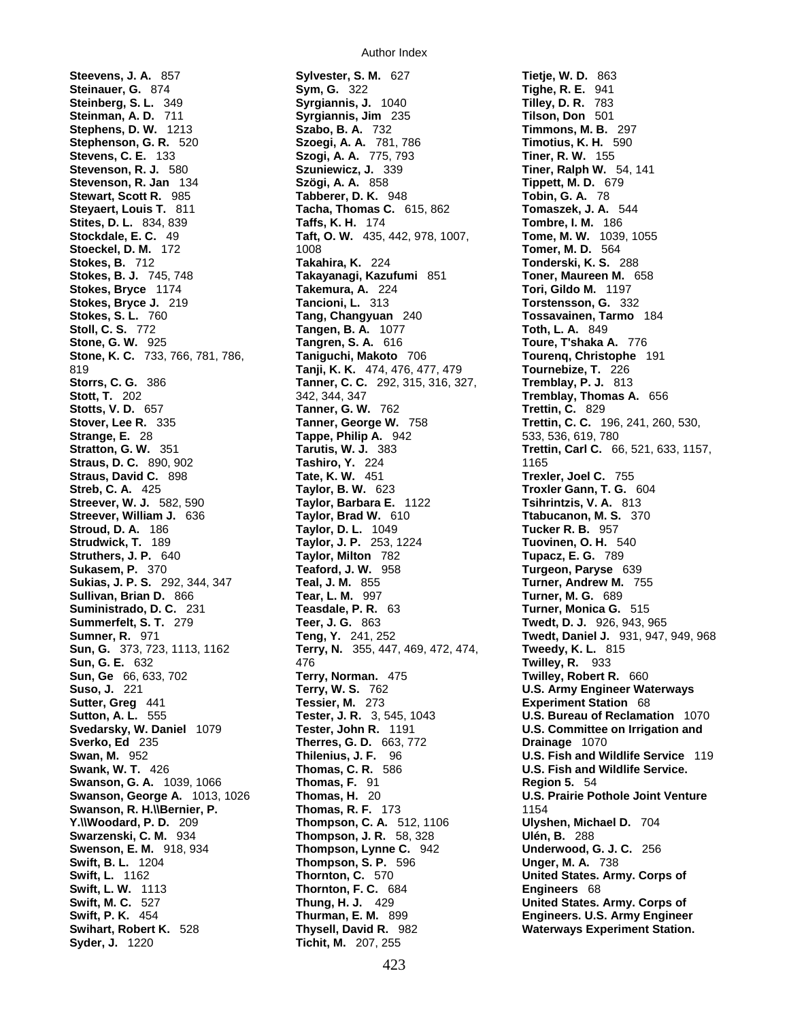**Steevens, J. A.** 857 **Steinauer, G.** 874 **Steinberg, S. L.** 349 **Steinman, A. D.** 711 **Stephens, D. W.** 1213 **Stephenson, G. R.** 520 **Stevens, C. E.** 133 **Stevenson, R. J.** 580 **Stevenson, R. Jan** 134 **Stewart, Scott R.** 985 **Steyaert, Louis T.** 811 **Stites, D. L.** 834, 839 **Stockdale, E. C.** 49 **Stoeckel, D. M.** 172 **Stokes, B.** 712 **Stokes, B. J.** 745, 748 **Stokes, Bryce** 1174 **Stokes, Bryce J.** 219 **Stokes, S. L.** 760 **Stoll, C. S.** 772 **Stone, G. W.** 925 **Stone, K. C.** 733, 766, 781, 786, 819 **Storrs, C. G.** 386 **Stott, T.** 202 **Stotts, V. D.** 657 **Stover, Lee R.** 335 **Strange, E.** 28 **Stratton, G. W.** 351 **Straus, D. C.** 890, 902 **Straus, David C.** 898 **Streb, C. A.** 425 **Streever, W. J.** 582, 590 **Streever, William J.** 636 **Stroud, D. A.** 186 **Strudwick, T.** 189 **Struthers, J. P.** 640 **Sukasem, P.** 370 **Sukias, J. P. S.** 292, 344, 347 **Sullivan, Brian D.** 866 **Suministrado, D. C.** 231 **Summerfelt, S. T.** 279 **Sumner, R.** 971 **Sun, G.** 373, 723, 1113, 1162 **Sun, G. E.** 632 **Sun, Ge** 66, 633, 702 **Suso, J.** 221 **Sutter, Greg** 441 **Sutton, A. L.** 555 **Svedarsky, W. Daniel** 1079 **Sverko, Ed** 235 **Swan, M.** 952 **Swank, W. T.** 426 **Swanson, G. A.** 1039, 1066 **Swanson, George A.** 1013, 1026 **Swanson, R. H.\\Bernier, P. Y.\\Woodard, P. D.** 209 **Swarzenski, C. M.** 934 **Swenson, E. M.** 918, 934 **Swift, B. L.** 1204 **Swift, L.** 1162 **Swift, L. W.** 1113 **Swift, M. C.** 527 **Swift, P. K.** 454 **Swihart, Robert K.** 528

**Syder, J.** 1220

Author Index

**Sylvester, S. M.** 627 **Sym, G.** 322 **Syrgiannis, J.** 1040 **Syrgiannis, Jim** 235 **Szabo, B. A.** 732 **Szoegi, A. A.** 781, 786 **Szogi, A. A.** 775, 793 **Szuniewicz, J.** 339 **Szögi, A. A.** 858 **Tabberer, D. K.** 948 **Tacha, Thomas C.** 615, 862 **Taffs, K. H.** 174 **Taft, O. W.** 435, 442, 978, 1007, 1008 **Takahira, K.** 224 **Takayanagi, Kazufumi** 851 **Takemura, A.** 224 **Tancioni, L.** 313 **Tang, Changyuan** 240 **Tangen, B. A.** 1077 **Tangren, S. A.** 616 **Taniguchi, Makoto** 706 **Tanji, K. K.** 474, 476, 477, 479 **Tanner, C. C.** 292, 315, 316, 327, 342, 344, 347 **Tanner, G. W.** 762 **Tanner, George W.** 758 **Tappe, Philip A.** 942 **Tarutis, W. J.** 383 **Tashiro, Y.** 224 **Tate, K. W.** 451 **Taylor, B. W.** 623 **Taylor, Barbara E.** 1122 **Taylor, Brad W.** 610 **Taylor, D. L.** 1049 **Taylor, J. P.** 253, 1224 **Taylor, Milton** 782 **Teaford, J. W.** 958 **Teal, J. M.** 855 **Tear, L. M.** 997 **Teasdale, P. R.** 63 **Teer, J. G.** 863 **Teng, Y.** 241, 252 **Terry, N.** 355, 447, 469, 472, 474, 476 **Terry, Norman.** 475 **Terry, W. S.** 762 **Tessier, M.** 273 **Tester, J. R.** 3, 545, 1043 **Tester, John R.** 1191 **Therres, G. D.** 663, 772 **Thilenius, J. F.** 96 **Thomas, C. R.** 586 **Thomas, F.** 91 **Thomas, H.** 20 **Thomas, R. F.** 173 **Thompson, C. A.** 512, 1106 **Thompson, J. R.** 58, 328 **Thompson, Lynne C.** 942 **Thompson, S. P.** 596 **Thornton, C.** 570 **Thornton, F. C.** 684 **Thung, H. J.** 429 **Thurman, E. M.** 899 **Thysell, David R.** 982 **Tichit, M.** 207, 255

**Tietje, W. D.** 863 **Tighe, R. E.** 941 **Tilley, D. R.** 783 **Tilson, Don** 501 **Timmons, M. B.** 297 **Timotius, K. H.** 590 **Tiner, R. W.** 155 **Tiner, Ralph W.** 54, 141 **Tippett, M. D.** 679 **Tobin, G. A.** 78 **Tomaszek, J. A.** 544 **Tombre, I. M.** 186 **Tome, M. W.** 1039, 1055 **Tomer, M. D.** 564 **Tonderski, K. S.** 288 **Toner, Maureen M.** 658 **Tori, Gildo M.** 1197 **Torstensson, G.** 332 **Tossavainen, Tarmo** 184 **Toth, L. A.** 849 **Toure, T'shaka A.** 776 **Tourenq, Christophe** 191 **Tournebize, T.** 226 **Tremblay, P. J.** 813 **Tremblay, Thomas A.** 656 **Trettin, C.** 829 **Trettin, C. C.** 196, 241, 260, 530, 533, 536, 619, 780 **Trettin, Carl C.** 66, 521, 633, 1157, 1165 **Trexler, Joel C.** 755 **Troxler Gann, T. G.** 604 **Tsihrintzis, V. A.** 813 **Ttabucanon, M. S.** 370 **Tucker R. B.** 957 **Tuovinen, O. H.** 540 **Tupacz, E. G.** 789 **Turgeon, Paryse** 639 **Turner, Andrew M.** 755 **Turner, M. G.** 689 **Turner, Monica G.** 515 **Twedt, D. J.** 926, 943, 965 **Twedt, Daniel J.** 931, 947, 949, 968 **Tweedy, K. L.** 815 **Twilley, R.** 933 **Twilley, Robert R.** 660 **U.S. Army Engineer Waterways Experiment Station** 68 **U.S. Bureau of Reclamation** 1070 **U.S. Committee on Irrigation and Drainage** 1070 **U.S. Fish and Wildlife Service** 119 **U.S. Fish and Wildlife Service. Region 5.** 54 **U.S. Prairie Pothole Joint Venture** 1154 **Ulyshen, Michael D.** 704 **Ulén, B.** 288 **Underwood, G. J. C.** 256 **Unger, M. A.** 738 **United States. Army. Corps of Engineers** 68 **United States. Army. Corps of Engineers. U.S. Army Engineer Waterways Experiment Station.**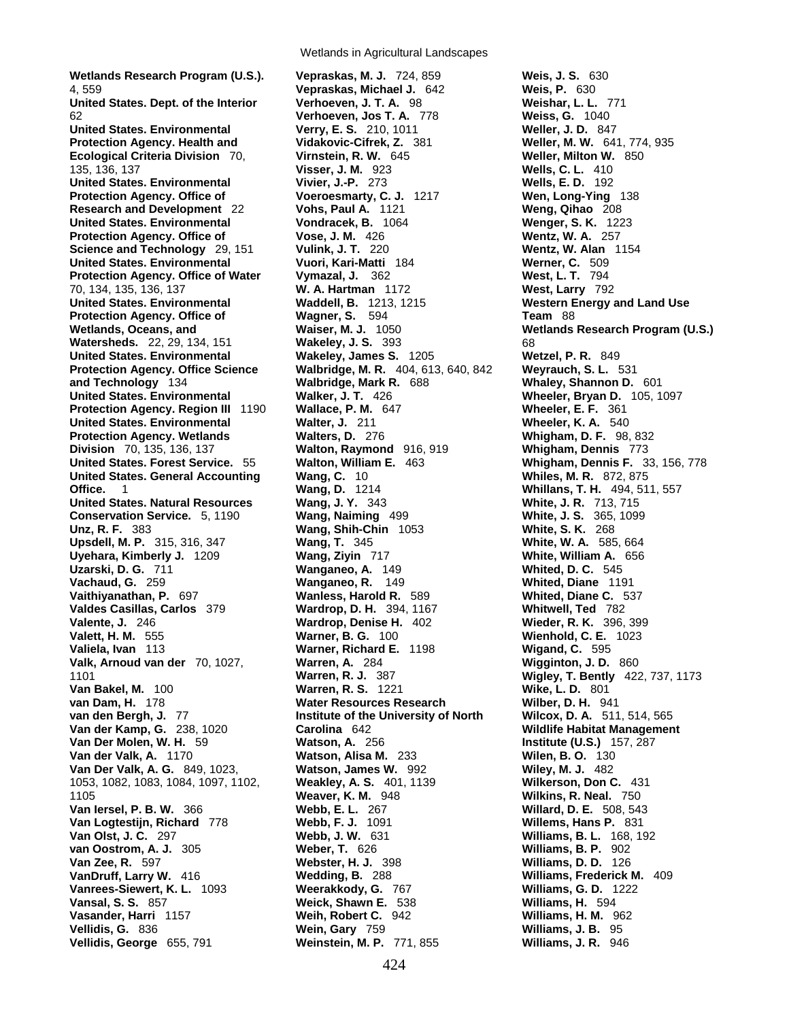**Wetlands Research Program (U.S.).** 4, 559 **United States. Dept. of the Interior** 62 **United States. Environmental Protection Agency. Health and Ecological Criteria Division** 70, 135, 136, 137 **United States. Environmental Protection Agency. Office of Research and Development** 22 **United States. Environmental Protection Agency. Office of Science and Technology** 29, 151 **United States. Environmental Protection Agency. Office of Water** 70, 134, 135, 136, 137 **United States. Environmental Protection Agency. Office of Wetlands, Oceans, and Watersheds.** 22, 29, 134, 151 **United States. Environmental Protection Agency. Office Science and Technology** 134 **United States. Environmental Protection Agency. Region III** 1190 **United States. Environmental Protection Agency. Wetlands Division** 70, 135, 136, 137 **United States. Forest Service.** 55 **United States. General Accounting Office. United States. Natural Resources Conservation Service.** 5, 1190 **Unz, R. F.** 383 **Upsdell, M. P.** 315, 316, 347 **Uyehara, Kimberly J.** 1209 **Uzarski, D. G.** 711 **Vachaud, G.** 259 **Vaithiyanathan, P.** 697 **Valdes Casillas, Carlos** 379 **Valente, J.** 246 **Valett, H. M.** 555 **Valiela, Ivan** 113 **Valk, Arnoud van der** 70, 1027, 1101 **Van Bakel, M.** 100 **van Dam, H.** 178 **van den Bergh, J.** 77 **Van der Kamp, G.** 238, 1020 **Van Der Molen, W. H.** 59 **Van der Valk, A.** 1170 **Van Der Valk, A. G.** 849, 1023, 1053, 1082, 1083, 1084, 1097, 1102, 1105 **Van Iersel, P. B. W.** 366 **Van Logtestijn, Richard** 778 **Van Olst, J. C.** 297 **van Oostrom, A. J.** 305 **Van Zee, R.** 597 **VanDruff, Larry W.** 416 **Vanrees-Siewert, K. L.** 1093 **Vansal, S. S.** 857 **Vasander, Harri** 1157 **Vellidis, G.** 836 **Vellidis, George** 655, 791

**Vepraskas, M. J.** 724, 859 **Vepraskas, Michael J.** 642 **Verhoeven, J. T. A.** 98 **Verhoeven, Jos T. A.** 778 **Verry, E. S.** 210, 1011 **Vidakovic-Cifrek, Z.** 381 **Virnstein, R. W.** 645 **Visser, J. M.** 923 **Vivier, J.-P.** 273 **Voeroesmarty, C. J.** 1217 **Vohs, Paul A.** 1121 **Vondracek, B.** 1064 **Vose, J. M.** 426 **Vulink, J. T.** 220 **Vuori, Kari-Matti** 184 **Vymazal, J.** 362 **W. A. Hartman** 1172 **Waddell, B.** 1213, 1215 **Wagner, S.** 594 **Waiser, M. J.** 1050 **Wakeley, J. S.** 393 **Wakeley, James S.** 1205 **Walbridge, M. R.** 404, 613, 640, 842 **Walbridge, Mark R.** 688 **Walker, J. T.** 426 **Wallace, P. M.** 647 **Walter, J.** 211 **Walters, D.** 276 **Walton, Raymond** 916, 919 **Walton, William E.** 463 **Wang, C.** 10 **Wang, D.** 1214 **Wang, J. Y.** 343 **Wang, Naiming** 499 **Wang, Shih-Chin** 1053 **Wang, T.** 345 **Wang, Ziyin** 717 **Wanganeo, A.** 149 **Wanganeo, R.** 149 **Wanless, Harold R.** 589 **Wardrop, D. H.** 394, 1167 **Wardrop, Denise H.** 402 **Warner, B. G.** 100 **Warner, Richard E.** 1198 **Warren, A.** 284 **Warren, R. J.** 387 **Warren, R. S.** 1221 **Water Resources Research Institute of the University of North Carolina** 642 **Watson, A.** 256 **Watson, Alisa M.** 233 **Watson, James W.** 992 **Weakley, A. S.** 401, 1139 **Weaver, K. M.** 948 **Webb, E. L.** 267 **Webb, F. J.** 1091 **Webb, J. W.** 631 **Weber, T.** 626 **Webster, H. J.** 398 **Wedding, B.** 288 **Weerakkody, G.** 767 **Weick, Shawn E.** 538 **Weih, Robert C.** 942 **Wein, Gary** 759 **Weinstein, M. P.** 771, 855

**Weis, J. S.** 630 **Weis, P.** 630 **Weishar, L. L.** 771 **Weiss, G.** 1040 **Weller, J. D.** 847 **Weller, M. W.** 641, 774, 935 **Weller, Milton W.** 850 **Wells, C. L.** 410 **Wells, E. D.** 192 **Wen, Long-Ying** 138 **Weng, Qihao** 208 **Wenger, S. K.** 1223 **Wentz, W. A.** 257 **Wentz, W. Alan** 1154 **Werner, C.** 509 **West, L. T.** 794 West, Larry 792 **Western Energy and Land Use Team** 88 **Wetlands Research Program (U.S.)** 68 **Wetzel, P. R.** 849 **Weyrauch, S. L.** 531 **Whaley, Shannon D.** 601 **Wheeler, Bryan D.** 105, 1097 **Wheeler, E. F.** 361 **Wheeler, K. A.** 540 **Whigham, D. F.** 98, 832 **Whigham, Dennis** 773 **Whigham, Dennis F.** 33, 156, 778 **Whiles, M. R.** 872, 875 **Whillans, T. H.** 494, 511, 557 **White, J. R.** 713, 715 **White, J. S.** 365, 1099 **White, S. K.** 268 **White, W. A.** 585, 664 **White, William A.** 656 **Whited, D. C.** 545 **Whited, Diane** 1191 **Whited, Diane C.** 537 **Whitwell, Ted** 782 **Wieder, R. K.** 396, 399 **Wienhold, C. E.** 1023 **Wigand, C.** 595 **Wigginton, J. D.** 860 **Wigley, T. Bently** 422, 737, 1173 **Wike, L. D.** 801 **Wilber, D. H.** 941 **Wilcox, D. A.** 511, 514, 565 **Wildlife Habitat Management Institute (U.S.)** 157, 287 **Wilen, B. O.** 130 **Wiley, M. J.** 482 **Wilkerson, Don C.** 431 **Wilkins, R. Neal.** 750 **Willard, D. E.** 508, 543 **Willems, Hans P.** 831 **Williams, B. L.** 168, 192 **Williams, B. P.** 902 **Williams, D. D.** 126 **Williams, Frederick M.** 409 **Williams, G. D.** 1222 **Williams, H.** 594 **Williams, H. M.** 962 **Williams, J. B.** 95 **Williams, J. R.** 946